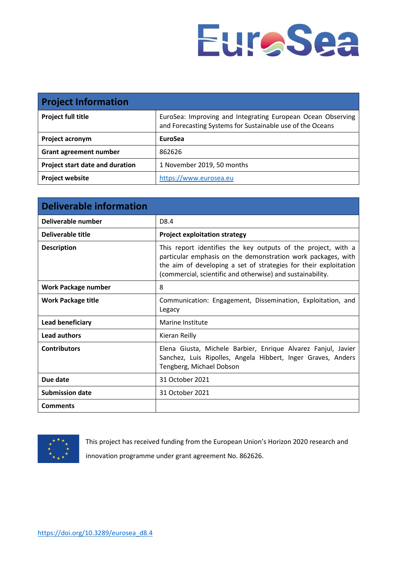

| <b>Project Information</b>      |                                                                                                                          |
|---------------------------------|--------------------------------------------------------------------------------------------------------------------------|
| <b>Project full title</b>       | EuroSea: Improving and Integrating European Ocean Observing<br>and Forecasting Systems for Sustainable use of the Oceans |
| Project acronym                 | EuroSea                                                                                                                  |
| <b>Grant agreement number</b>   | 862626                                                                                                                   |
| Project start date and duration | 1 November 2019, 50 months                                                                                               |
| <b>Project website</b>          | https://www.eurosea.eu                                                                                                   |

| <b>Deliverable information</b> |                                                                                                                                                                                                                                                                 |
|--------------------------------|-----------------------------------------------------------------------------------------------------------------------------------------------------------------------------------------------------------------------------------------------------------------|
| Deliverable number             | D <sub>8.4</sub>                                                                                                                                                                                                                                                |
| <b>Deliverable title</b>       | <b>Project exploitation strategy</b>                                                                                                                                                                                                                            |
| <b>Description</b>             | This report identifies the key outputs of the project, with a<br>particular emphasis on the demonstration work packages, with<br>the aim of developing a set of strategies for their exploitation<br>(commercial, scientific and otherwise) and sustainability. |
| <b>Work Package number</b>     | 8                                                                                                                                                                                                                                                               |
| <b>Work Package title</b>      | Communication: Engagement, Dissemination, Exploitation, and<br>Legacy                                                                                                                                                                                           |
| Lead beneficiary               | Marine Institute                                                                                                                                                                                                                                                |
| <b>Lead authors</b>            | Kieran Reilly                                                                                                                                                                                                                                                   |
| <b>Contributors</b>            | Elena Giusta, Michele Barbier, Enrique Alvarez Fanjul, Javier<br>Sanchez, Luis Ripolles, Angela Hibbert, Inger Graves, Anders<br>Tengberg, Michael Dobson                                                                                                       |
| Due date                       | 31 October 2021                                                                                                                                                                                                                                                 |
| <b>Submission date</b>         | 31 October 2021                                                                                                                                                                                                                                                 |
| <b>Comments</b>                |                                                                                                                                                                                                                                                                 |



This project has received funding from the European Union's Horizon 2020 research and innovation programme under grant agreement No. 862626.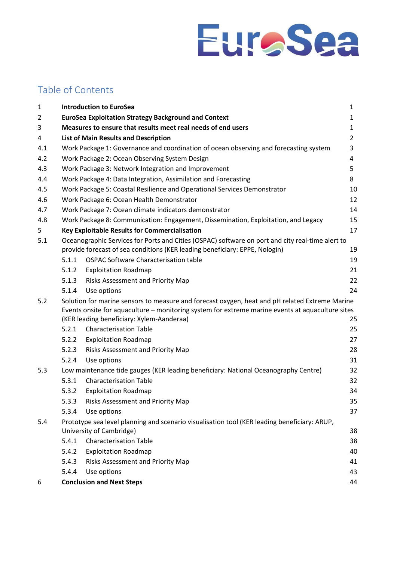

## Table of Contents

| $\mathbf 1$ |       | <b>Introduction to EuroSea</b>                                                                                           | $\mathbf{1}$   |
|-------------|-------|--------------------------------------------------------------------------------------------------------------------------|----------------|
| 2           |       | <b>EuroSea Exploitation Strategy Background and Context</b>                                                              | $\mathbf{1}$   |
| 3           |       | Measures to ensure that results meet real needs of end users                                                             | $\mathbf{1}$   |
| 4           |       | <b>List of Main Results and Description</b>                                                                              | $\overline{2}$ |
| 4.1         |       | Work Package 1: Governance and coordination of ocean observing and forecasting system                                    | 3              |
| 4.2         |       | Work Package 2: Ocean Observing System Design                                                                            | 4              |
| 4.3         |       | Work Package 3: Network Integration and Improvement                                                                      | 5              |
| 4.4         |       | Work Package 4: Data Integration, Assimilation and Forecasting                                                           | 8              |
| 4.5         |       | Work Package 5: Coastal Resilience and Operational Services Demonstrator                                                 | 10             |
| 4.6         |       | Work Package 6: Ocean Health Demonstrator                                                                                | 12             |
| 4.7         |       | Work Package 7: Ocean climate indicators demonstrator                                                                    | 14             |
| 4.8         |       | Work Package 8: Communication: Engagement, Dissemination, Exploitation, and Legacy                                       | 15             |
| 5           |       | <b>Key Exploitable Results for Commercialisation</b>                                                                     | 17             |
| 5.1         |       | Oceanographic Services for Ports and Cities (OSPAC) software on port and city real-time alert to                         |                |
|             |       | provide forecast of sea conditions (KER leading beneficiary: EPPE, Nologin)                                              | 19             |
|             | 5.1.1 | <b>OSPAC Software Characterisation table</b>                                                                             | 19             |
|             | 5.1.2 | <b>Exploitation Roadmap</b>                                                                                              | 21             |
|             | 5.1.3 | Risks Assessment and Priority Map                                                                                        | 22             |
|             | 5.1.4 | Use options                                                                                                              | 24             |
| 5.2         |       | Solution for marine sensors to measure and forecast oxygen, heat and pH related Extreme Marine                           |                |
|             |       | Events onsite for aquaculture - monitoring system for extreme marine events at aquaculture sites                         |                |
|             |       | (KER leading beneficiary: Xylem-Aanderaa)                                                                                | 25             |
|             | 5.2.1 | <b>Characterisation Table</b>                                                                                            | 25             |
|             | 5.2.2 | <b>Exploitation Roadmap</b>                                                                                              | 27             |
|             | 5.2.3 | Risks Assessment and Priority Map                                                                                        | 28             |
|             | 5.2.4 | Use options                                                                                                              | 31             |
| 5.3         |       | Low maintenance tide gauges (KER leading beneficiary: National Oceanography Centre)                                      | 32             |
|             | 5.3.1 | <b>Characterisation Table</b>                                                                                            | 32             |
|             | 5.3.2 | <b>Exploitation Roadmap</b>                                                                                              | 34             |
|             | 5.3.3 | <b>Risks Assessment and Priority Map</b>                                                                                 | 35             |
|             | 5.3.4 | Use options                                                                                                              | 37             |
| 5.4         |       | Prototype sea level planning and scenario visualisation tool (KER leading beneficiary: ARUP,<br>University of Cambridge) |                |
|             | 5.4.1 | <b>Characterisation Table</b>                                                                                            | 38<br>38       |
|             | 5.4.2 | <b>Exploitation Roadmap</b>                                                                                              | 40             |
|             | 5.4.3 | Risks Assessment and Priority Map                                                                                        | 41             |
|             | 5.4.4 | Use options                                                                                                              | 43             |
|             |       |                                                                                                                          |                |
| 6           |       | <b>Conclusion and Next Steps</b>                                                                                         | 44             |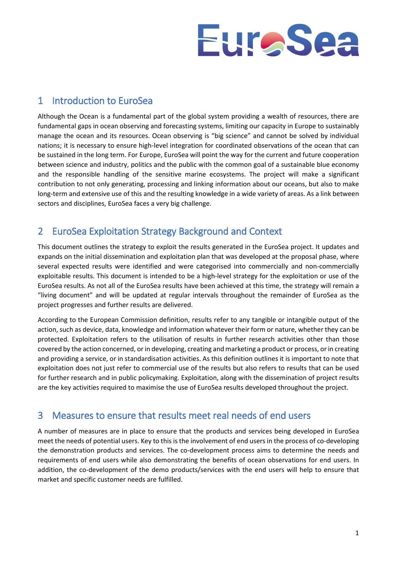

## <span id="page-2-0"></span>1 Introduction to EuroSea

Although the Ocean is a fundamental part of the global system providing a wealth of resources, there are fundamental gaps in ocean observing and forecasting systems, limiting our capacity in Europe to sustainably manage the ocean and its resources. Ocean observing is "big science" and cannot be solved by individual nations; it is necessary to ensure high-level integration for coordinated observations of the ocean that can be sustained in the long term. For Europe, EuroSea will point the way for the current and future cooperation between science and industry, politics and the public with the common goal of a sustainable blue economy and the responsible handling of the sensitive marine ecosystems. The project will make a significant contribution to not only generating, processing and linking information about our oceans, but also to make long-term and extensive use of this and the resulting knowledge in a wide variety of areas. As a link between sectors and disciplines, EuroSea faces a very big challenge.

## <span id="page-2-1"></span>2 EuroSea Exploitation Strategy Background and Context

This document outlines the strategy to exploit the results generated in the EuroSea project. It updates and expands on the initial dissemination and exploitation plan that was developed at the proposal phase, where several expected results were identified and were categorised into commercially and non-commercially exploitable results. This document is intended to be a high-level strategy for the exploitation or use of the EuroSea results. As not all of the EuroSea results have been achieved at this time, the strategy will remain a "living document" and will be updated at regular intervals throughout the remainder of EuroSea as the project progresses and further results are delivered.

According to the European Commission definition, results refer to any tangible or intangible output of the action, such as device, data, knowledge and information whatever their form or nature, whether they can be protected. Exploitation refers to the utilisation of results in further research activities other than those covered by the action concerned, or in developing, creating and marketing a product or process, or in creating and providing a service, or in standardisation activities. As this definition outlines it is important to note that exploitation does not just refer to commercial use of the results but also refers to results that can be used for further research and in public policymaking. Exploitation, along with the dissemination of project results are the key activities required to maximise the use of EuroSea results developed throughout the project.

## <span id="page-2-2"></span>3 Measures to ensure that results meet real needs of end users

A number of measures are in place to ensure that the products and services being developed in EuroSea meet the needs of potential users. Key to this is the involvement of end users in the process of co-developing the demonstration products and services. The co-development process aims to determine the needs and requirements of end users while also demonstrating the benefits of ocean observations for end users. In addition, the co-development of the demo products/services with the end users will help to ensure that market and specific customer needs are fulfilled.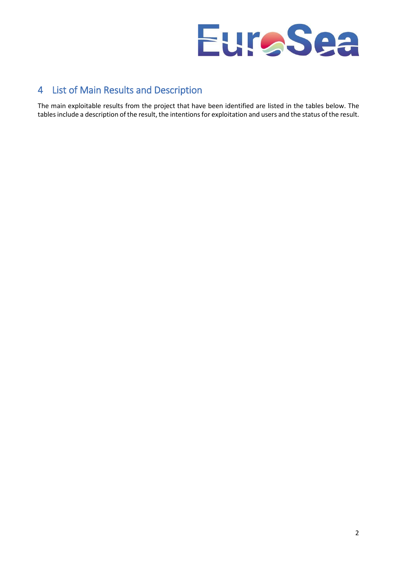

## <span id="page-3-0"></span>4 List of Main Results and Description

The main exploitable results from the project that have been identified are listed in the tables below. The tables include a description of the result, the intentions for exploitation and users and the status of the result.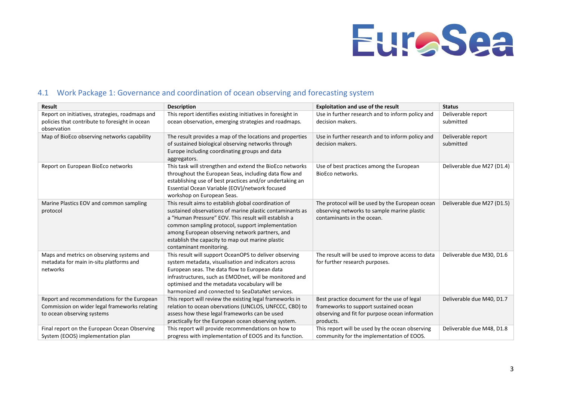

## 4.1 Work Package 1: Governance and coordination of ocean observing and forecasting system

<span id="page-4-0"></span>

| <b>Result</b>                                                                                                              | <b>Description</b>                                                                                                                                                                                                                                                                                                                                            | <b>Exploitation and use of the result</b>                                                                                                            | <b>Status</b>                   |
|----------------------------------------------------------------------------------------------------------------------------|---------------------------------------------------------------------------------------------------------------------------------------------------------------------------------------------------------------------------------------------------------------------------------------------------------------------------------------------------------------|------------------------------------------------------------------------------------------------------------------------------------------------------|---------------------------------|
| Report on initiatives, strategies, roadmaps and                                                                            | This report identifies existing initiatives in foresight in                                                                                                                                                                                                                                                                                                   | Use in further research and to inform policy and                                                                                                     | Deliverable report              |
| policies that contribute to foresight in ocean<br>observation                                                              | ocean observation, emerging strategies and roadmaps.                                                                                                                                                                                                                                                                                                          | decision makers.                                                                                                                                     | submitted                       |
| Map of BioEco observing networks capability                                                                                | The result provides a map of the locations and properties<br>of sustained biological observing networks through<br>Europe including coordinating groups and data<br>aggregators.                                                                                                                                                                              | Use in further research and to inform policy and<br>decision makers.                                                                                 | Deliverable report<br>submitted |
| Report on European BioEco networks                                                                                         | This task will strengthen and extend the BioEco networks<br>throughout the European Seas, including data flow and<br>establishing use of best practices and/or undertaking an<br>Essential Ocean Variable (EOV)/network focused<br>workshop on European Seas.                                                                                                 | Use of best practices among the European<br>BioEco networks.                                                                                         | Deliverable due M27 (D1.4)      |
| Marine Plastics EOV and common sampling<br>protocol                                                                        | This result aims to establish global coordination of<br>sustained observations of marine plastic contaminants as<br>a "Human Pressure" EOV. This result will establish a<br>common sampling protocol, support implementation<br>among European observing network partners, and<br>establish the capacity to map out marine plastic<br>contaminant monitoring. | The protocol will be used by the European ocean<br>observing networks to sample marine plastic<br>contaminants in the ocean.                         | Deliverable due M27 (D1.5)      |
| Maps and metrics on observing systems and<br>metadata for main in-situ platforms and<br>networks                           | This result will support OceanOPS to deliver observing<br>system metadata, visualisation and indicators across<br>European seas. The data flow to European data<br>infrastructures, such as EMODnet, will be monitored and<br>optimised and the metadata vocabulary will be<br>harmonized and connected to SeaDataNet services.                               | The result will be used to improve access to data<br>for further research purposes.                                                                  | Deliverable due M30, D1.6       |
| Report and recommendations for the European<br>Commission on wider legal frameworks relating<br>to ocean observing systems | This report will review the existing legal frameworks in<br>relation to ocean obervations (UNCLOS, UNFCCC, CBD) to<br>assess how these legal frameworks can be used<br>practically for the European ocean observing system.                                                                                                                                   | Best practice document for the use of legal<br>frameworks to support sustained ocean<br>observing and fit for purpose ocean information<br>products. | Deliverable due M40, D1.7       |
| Final report on the European Ocean Observing<br>System (EOOS) implementation plan                                          | This report will provide recommendations on how to<br>progress with implementation of EOOS and its function.                                                                                                                                                                                                                                                  | This report will be used by the ocean observing<br>community for the implementation of EOOS.                                                         | Deliverable due M48, D1.8       |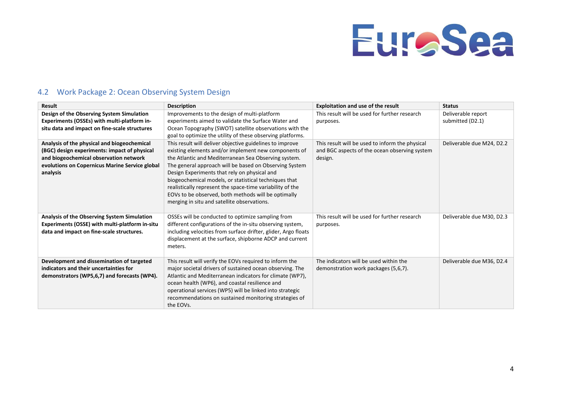

## 4.2 Work Package 2: Ocean Observing System Design

<span id="page-5-0"></span>

| <b>Result</b>                                                                                                                                                                                       | <b>Description</b>                                                                                                                                                                                                                                                                                                                                                                                                                                                                                             | Exploitation and use of the result                                                                          | <b>Status</b>                          |
|-----------------------------------------------------------------------------------------------------------------------------------------------------------------------------------------------------|----------------------------------------------------------------------------------------------------------------------------------------------------------------------------------------------------------------------------------------------------------------------------------------------------------------------------------------------------------------------------------------------------------------------------------------------------------------------------------------------------------------|-------------------------------------------------------------------------------------------------------------|----------------------------------------|
| Design of the Observing System Simulation<br>Experiments (OSSEs) with multi-platform in-<br>situ data and impact on fine-scale structures                                                           | Improvements to the design of multi-platform<br>experiments aimed to validate the Surface Water and<br>Ocean Topography (SWOT) satellite observations with the<br>goal to optimize the utility of these observing platforms.                                                                                                                                                                                                                                                                                   | This result will be used for further research<br>purposes.                                                  | Deliverable report<br>submitted (D2.1) |
| Analysis of the physical and biogeochemical<br>(BGC) design experiments: impact of physical<br>and biogeochemical observation network<br>evolutions on Copernicus Marine Service global<br>analysis | This result will deliver objective guidelines to improve<br>existing elements and/or implement new components of<br>the Atlantic and Mediterranean Sea Observing system.<br>The general approach will be based on Observing System<br>Design Experiments that rely on physical and<br>biogeochemical models, or statistical techniques that<br>realistically represent the space-time variability of the<br>EOVs to be observed, both methods will be optimally<br>merging in situ and satellite observations. | This result will be used to inform the physical<br>and BGC aspects of the ocean observing system<br>design. | Deliverable due M24, D2.2              |
| Analysis of the Observing System Simulation<br>Experiments (OSSE) with multi-platform in-situ<br>data and impact on fine-scale structures.                                                          | OSSEs will be conducted to optimize sampling from<br>different configurations of the in-situ observing system,<br>including velocities from surface drifter, glider, Argo floats<br>displacement at the surface, shipborne ADCP and current<br>meters.                                                                                                                                                                                                                                                         | This result will be used for further research<br>purposes.                                                  | Deliverable due M30, D2.3              |
| Development and dissemination of targeted<br>indicators and their uncertainties for<br>demonstrators (WP5,6,7) and forecasts (WP4).                                                                 | This result will verify the EOVs required to inform the<br>major societal drivers of sustained ocean observing. The<br>Atlantic and Mediterranean indicators for climate (WP7),<br>ocean health (WP6), and coastal resilience and<br>operational services (WP5) will be linked into strategic<br>recommendations on sustained monitoring strategies of<br>the EOVs.                                                                                                                                            | The indicators will be used within the<br>demonstration work packages (5,6,7).                              | Deliverable due M36, D2.4              |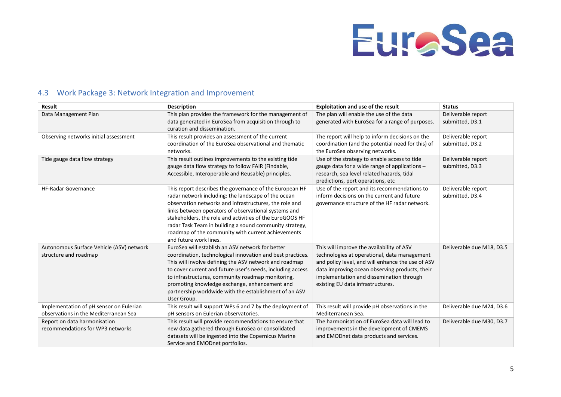

## 4.3 Work Package 3: Network Integration and Improvement

<span id="page-6-0"></span>

| Result                                                                           | <b>Description</b>                                                                                                                                                                                                                                                                                                                                                                                                                      | <b>Exploitation and use of the result</b>                                                                                                                                                                                                                                         | <b>Status</b>                         |
|----------------------------------------------------------------------------------|-----------------------------------------------------------------------------------------------------------------------------------------------------------------------------------------------------------------------------------------------------------------------------------------------------------------------------------------------------------------------------------------------------------------------------------------|-----------------------------------------------------------------------------------------------------------------------------------------------------------------------------------------------------------------------------------------------------------------------------------|---------------------------------------|
| Data Management Plan                                                             | This plan provides the framework for the management of<br>data generated in EuroSea from acquisition through to<br>curation and dissemination.                                                                                                                                                                                                                                                                                          | The plan will enable the use of the data<br>generated with EuroSea for a range of purposes.                                                                                                                                                                                       | Deliverable report<br>submitted, D3.1 |
| Observing networks initial assessment                                            | This result provides an assessment of the current<br>coordination of the EuroSea observational and thematic<br>networks.                                                                                                                                                                                                                                                                                                                | The report will help to inform decisions on the<br>coordination (and the potential need for this) of<br>the EuroSea observing networks.                                                                                                                                           | Deliverable report<br>submitted, D3.2 |
| Tide gauge data flow strategy                                                    | This result outlines improvements to the existing tide<br>gauge data flow strategy to follow FAIR (Findable,<br>Accessible, Interoperable and Reusable) principles.                                                                                                                                                                                                                                                                     | Use of the strategy to enable access to tide<br>gauge data for a wide range of applications -<br>research, sea level related hazards, tidal<br>predictions, port operations, etc                                                                                                  | Deliverable report<br>submitted, D3.3 |
| <b>HF-Radar Governance</b>                                                       | This report describes the governance of the European HF<br>radar network including: the landscape of the ocean<br>observation networks and infrastructures, the role and<br>links between operators of observational systems and<br>stakeholders, the role and activities of the EuroGOOS HF<br>radar Task Team in building a sound community strategy,<br>roadmap of the community with current achievements<br>and future work lines. | Use of the report and its recommendations to<br>inform decisions on the current and future<br>governance structure of the HF radar network.                                                                                                                                       | Deliverable report<br>submitted, D3.4 |
| Autonomous Surface Vehicle (ASV) network<br>structure and roadmap                | EuroSea will establish an ASV network for better<br>coordination, technological innovation and best practices.<br>This will involve defining the ASV network and roadmap<br>to cover current and future user's needs, including access<br>to infrastructures, community roadmap monitoring,<br>promoting knowledge exchange, enhancement and<br>partnership worldwide with the establishment of an ASV<br>User Group.                   | This will improve the availability of ASV<br>technologies at operational, data management<br>and policy level, and will enhance the use of ASV<br>data improving ocean observing products, their<br>implementation and dissemination through<br>existing EU data infrastructures. | Deliverable due M18, D3.5             |
| Implementation of pH sensor on Eulerian<br>observations in the Mediterranean Sea | This result will support WPs 6 and 7 by the deployment of<br>pH sensors on Eulerian observatories.                                                                                                                                                                                                                                                                                                                                      | This result will provide pH observations in the<br>Mediterranean Sea.                                                                                                                                                                                                             | Deliverable due M24, D3.6             |
| Report on data harmonisation<br>recommendations for WP3 networks                 | This result will provide recommendations to ensure that<br>new data gathered through EuroSea or consolidated<br>datasets will be ingested into the Copernicus Marine<br>Service and EMODnet portfolios.                                                                                                                                                                                                                                 | The harmonisation of EuroSea data will lead to<br>improvements in the development of CMEMS<br>and EMODnet data products and services.                                                                                                                                             | Deliverable due M30, D3.7             |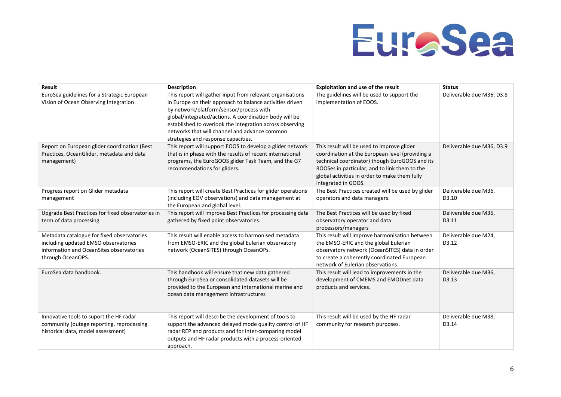

| <b>Result</b>                                                                                                                                       | <b>Description</b>                                                                                                                                                                                                                                                                                                                                                             | <b>Exploitation and use of the result</b>                                                                                                                                                                                                                                | <b>Status</b>                 |
|-----------------------------------------------------------------------------------------------------------------------------------------------------|--------------------------------------------------------------------------------------------------------------------------------------------------------------------------------------------------------------------------------------------------------------------------------------------------------------------------------------------------------------------------------|--------------------------------------------------------------------------------------------------------------------------------------------------------------------------------------------------------------------------------------------------------------------------|-------------------------------|
| EuroSea guidelines for a Strategic European<br>Vision of Ocean Observing Integration                                                                | This report will gather input from relevant organisations<br>in Europe on their approach to balance activities driven<br>by network/platform/sensor/process with<br>global/integrated/actions. A coordination body will be<br>established to overlook the integration across observing<br>networks that will channel and advance common<br>strategies and response capacities. | The guidelines will be used to support the<br>implementation of EOOS.                                                                                                                                                                                                    | Deliverable due M36, D3.8     |
| Report on European glider coordination (Best<br>Practices, OceanGlider, metadata and data<br>management)                                            | This report will support EOOS to develop a glider network<br>that is in phase with the results of recent international<br>programs, the EuroGOOS glider Task Team, and the G7<br>recommendations for gliders.                                                                                                                                                                  | This result will be used to improve glider<br>coordination at the European level (providing a<br>technical coordinator) though EuroGOOS and its<br>ROOSes in particular, and to link them to the<br>global activities in order to make them fully<br>integrated in GOOS. | Deliverable due M36, D3.9     |
| Progress report on Glider metadata<br>management                                                                                                    | This report will create Best Practices for glider operations<br>(including EOV observations) and data management at<br>the European and global level.                                                                                                                                                                                                                          | The Best Practices created will be used by glider<br>operators and data managers.                                                                                                                                                                                        | Deliverable due M36,<br>D3.10 |
| Upgrade Best Practices for fixed observatories in<br>term of data processing                                                                        | This report will improve Best Practices for processing data<br>gathered by fixed point observatories.                                                                                                                                                                                                                                                                          | The Best Practices will be used by fixed<br>observatory operator and data<br>processors/managers                                                                                                                                                                         | Deliverable due M36,<br>D3.11 |
| Metadata catalogue for fixed observatories<br>including updated EMSO observatories<br>information and OceanSites observatories<br>through OceanOPS. | This result will enable access to harmonised metadata<br>from EMSO-ERIC and the global Eulerian observatory<br>network (OceanSITES) through OceanOPs.                                                                                                                                                                                                                          | This result will improve harmonisation between<br>the EMSO-ERIC and the global Eulerian<br>observatory network (OceanSITES) data in order<br>to create a coherently coordinated European<br>network of Eulerian observations.                                            | Deliverable due M24,<br>D3.12 |
| EuroSea data handbook.                                                                                                                              | This handbook will ensure that new data gathered<br>through EuroSea or consolidated datasets will be<br>provided to the European and international marine and<br>ocean data management infrastructures                                                                                                                                                                         | This result will lead to improvements in the<br>development of CMEMS and EMODnet data<br>products and services.                                                                                                                                                          | Deliverable due M36,<br>D3.13 |
| Innovative tools to suport the HF radar<br>community (outage reporting, reprocessing<br>historical data, model assessment)                          | This report will describe the development of tools to<br>support the advanced delayed mode quality control of HF<br>radar REP and products and for inter-comparing model<br>outputs and HF radar products with a process-oriented<br>approach.                                                                                                                                 | This result will be used by the HF radar<br>community for research purposes.                                                                                                                                                                                             | Deliverable due M38.<br>D3.14 |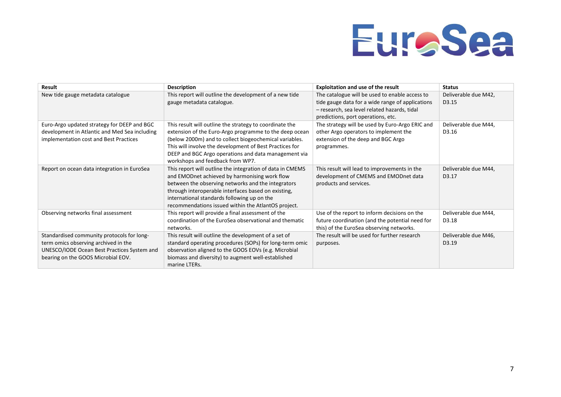

| <b>Result</b>                                                                                                                                                           | <b>Description</b>                                                                                                                                                                                                                                                                                                                 | <b>Exploitation and use of the result</b>                                                                                                                                                | <b>Status</b>                              |
|-------------------------------------------------------------------------------------------------------------------------------------------------------------------------|------------------------------------------------------------------------------------------------------------------------------------------------------------------------------------------------------------------------------------------------------------------------------------------------------------------------------------|------------------------------------------------------------------------------------------------------------------------------------------------------------------------------------------|--------------------------------------------|
| New tide gauge metadata catalogue                                                                                                                                       | This report will outline the development of a new tide<br>gauge metadata catalogue.                                                                                                                                                                                                                                                | The catalogue will be used to enable access to<br>tide gauge data for a wide range of applications<br>- research, sea level related hazards, tidal<br>predictions, port operations, etc. | Deliverable due M42,<br>D <sub>3</sub> .15 |
| Euro-Argo updated strategy for DEEP and BGC<br>development in Atlantic and Med Sea including<br>implementation cost and Best Practices                                  | This result will outline the strategy to coordinate the<br>extension of the Euro-Argo programme to the deep ocean<br>(below 2000m) and to collect biogeochemical variables.<br>This will involve the development of Best Practices for<br>DEEP and BGC Argo operations and data management via<br>workshops and feedback from WP7. | The strategy will be used by Euro-Argo ERIC and<br>other Argo operators to implement the<br>extension of the deep and BGC Argo<br>programmes.                                            | Deliverable due M44,<br>D3.16              |
| Report on ocean data integration in EuroSea                                                                                                                             | This report will outline the integration of data in CMEMS<br>and EMODnet achieved by harmonising work flow<br>between the observing networks and the integrators<br>through interoperable interfaces based on existing,<br>international standards following up on the<br>recommendations issued within the AtlantOS project.      | This result will lead to improvements in the<br>development of CMEMS and EMODnet data<br>products and services.                                                                          | Deliverable due M44,<br>D3.17              |
| Observing networks final assessment                                                                                                                                     | This report will provide a final assessment of the<br>coordination of the EuroSea observational and thematic<br>networks.                                                                                                                                                                                                          | Use of the report to inform decisions on the<br>future coordination (and the potential need for<br>this) of the EuroSea observing networks.                                              | Deliverable due M44,<br>D3.18              |
| Standardised community protocols for long-<br>term omics observing archived in the<br>UNESCO/IODE Ocean Best Practices System and<br>bearing on the GOOS Microbial EOV. | This result will outline the development of a set of<br>standard operating procedures (SOPs) for long-term omic<br>observation aligned to the GOOS EOVs (e.g. Microbial<br>biomass and diversity) to augment well-established<br>marine LTERs.                                                                                     | The result will be used for further research<br>purposes.                                                                                                                                | Deliverable due M46,<br>D <sub>3.19</sub>  |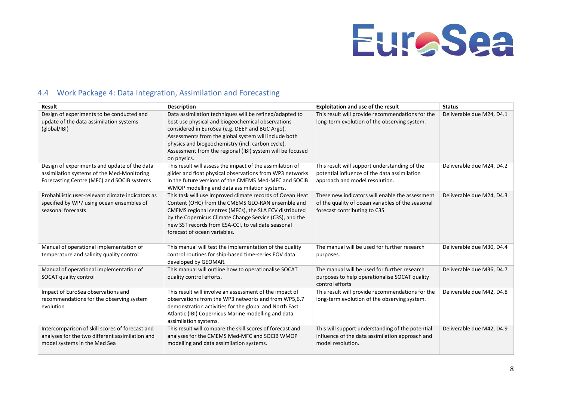

## 4.4 Work Package 4: Data Integration, Assimilation and Forecasting

<span id="page-9-0"></span>

| Result                                                                                                                                   | <b>Description</b>                                                                                                                                                                                                                                                                                                                                       | Exploitation and use of the result                                                                                                    | <b>Status</b>             |
|------------------------------------------------------------------------------------------------------------------------------------------|----------------------------------------------------------------------------------------------------------------------------------------------------------------------------------------------------------------------------------------------------------------------------------------------------------------------------------------------------------|---------------------------------------------------------------------------------------------------------------------------------------|---------------------------|
| Design of experiments to be conducted and<br>update of the data assimilation systems<br>(global/IBI)                                     | Data assimilation techniques will be refined/adapted to<br>best use physical and biogeochemical observations<br>considered in EuroSea (e.g. DEEP and BGC Argo).<br>Assessments from the global system will include both<br>physics and biogeochemistry (incl. carbon cycle).<br>Assessment from the regional (IBI) system will be focused<br>on physics. | This result will provide recommendations for the<br>long-term evolution of the observing system.                                      | Deliverable due M24, D4.1 |
| Design of experiments and update of the data<br>assimilation systems of the Med-Monitoring<br>Forecasting Centre (MFC) and SOCIB systems | This result will assess the impact of the assimilation of<br>glider and float physical observations from WP3 networks<br>in the future versions of the CMEMS Med-MFC and SOCIB<br>WMOP modelling and data assimilation systems.                                                                                                                          | This result will support understanding of the<br>potential influence of the data assimilation<br>approach and model resolution.       | Deliverable due M24, D4.2 |
| Probabilistic user-relevant climate indicators as<br>specified by WP7 using ocean ensembles of<br>seasonal forecasts                     | This task will use improved climate records of Ocean Heat<br>Content (OHC) from the CMEMS GLO-RAN ensemble and<br>CMEMS regional centres (MFCs), the SLA ECV distributed<br>by the Copernicus Climate Change Service (C3S), and the<br>new SST records from ESA-CCI, to validate seasonal<br>forecast of ocean variables.                                | These new indicators will enable the assessment<br>of the quality of ocean variables of the seasonal<br>forecast contributing to C3S. | Deliverable due M24, D4.3 |
| Manual of operational implementation of<br>temperature and salinity quality control                                                      | This manual will test the implementation of the quality<br>control routines for ship-based time-series EOV data<br>developed by GEOMAR.                                                                                                                                                                                                                  | The manual will be used for further research<br>purposes.                                                                             | Deliverable due M30, D4.4 |
| Manual of operational implementation of<br>SOCAT quality control                                                                         | This manual will outline how to operationalise SOCAT<br>quality control efforts.                                                                                                                                                                                                                                                                         | The manual will be used for further research<br>purposes to help operationalise SOCAT quality<br>control efforts                      | Deliverable due M36, D4.7 |
| Impact of EuroSea observations and<br>recommendations for the observing system<br>evolution                                              | This result will involve an assessment of the impact of<br>observations from the WP3 networks and from WP5,6,7<br>demonstration activities for the global and North East<br>Atlantic (IBI) Copernicus Marine modelling and data<br>assimilation systems.                                                                                                 | This result will provide recommendations for the<br>long-term evolution of the observing system.                                      | Deliverable due M42, D4.8 |
| Intercomparison of skill scores of forecast and<br>analyses for the two different assimilation and<br>model systems in the Med Sea       | This result will compare the skill scores of forecast and<br>analyses for the CMEMS Med-MFC and SOCIB WMOP<br>modelling and data assimilation systems.                                                                                                                                                                                                   | This will support understanding of the potential<br>influence of the data assimilation approach and<br>model resolution.              | Deliverable due M42, D4.9 |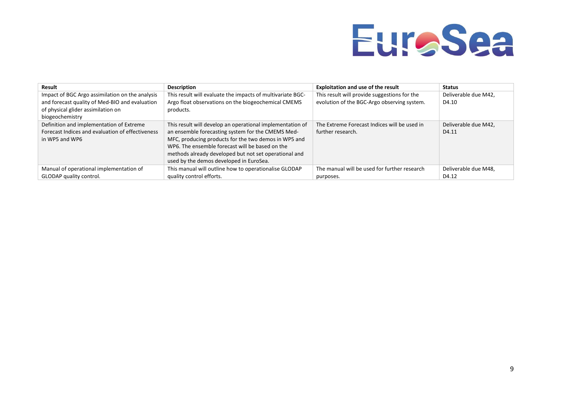

| Result                                           | <b>Description</b>                                         | <b>Exploitation and use of the result</b>    | <b>Status</b>        |
|--------------------------------------------------|------------------------------------------------------------|----------------------------------------------|----------------------|
| Impact of BGC Argo assimilation on the analysis  | This result will evaluate the impacts of multivariate BGC- | This result will provide suggestions for the | Deliverable due M42, |
| and forecast quality of Med-BIO and evaluation   | Argo float observations on the biogeochemical CMEMS        | evolution of the BGC-Argo observing system.  | D4.10                |
| of physical glider assimilation on               | products.                                                  |                                              |                      |
| biogeochemistry                                  |                                                            |                                              |                      |
| Definition and implementation of Extreme         | This result will develop an operational implementation of  | The Extreme Forecast Indices will be used in | Deliverable due M42, |
| Forecast Indices and evaluation of effectiveness | an ensemble forecasting system for the CMEMS Med-          | further research.                            | D4.11                |
| in WP5 and WP6                                   | MFC, producing products for the two demos in WP5 and       |                                              |                      |
|                                                  | WP6. The ensemble forecast will be based on the            |                                              |                      |
|                                                  | methods already developed but not set operational and      |                                              |                      |
|                                                  | used by the demos developed in EuroSea.                    |                                              |                      |
| Manual of operational implementation of          | This manual will outline how to operationalise GLODAP      | The manual will be used for further research | Deliverable due M48, |
| GLODAP quality control.                          | quality control efforts.                                   | purposes.                                    | D4.12                |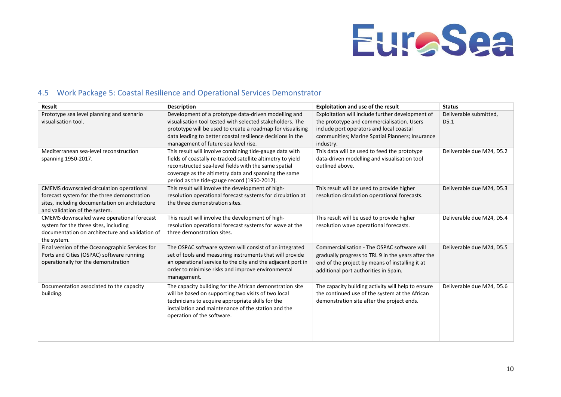

## 4.5 Work Package 5: Coastal Resilience and Operational Services Demonstrator

<span id="page-11-0"></span>

| <b>Result</b>                                                                       | <b>Description</b>                                                                                           | Exploitation and use of the result                                                   | <b>Status</b>             |
|-------------------------------------------------------------------------------------|--------------------------------------------------------------------------------------------------------------|--------------------------------------------------------------------------------------|---------------------------|
| Prototype sea level planning and scenario                                           | Development of a prototype data-driven modelling and                                                         | Exploitation will include further development of                                     | Deliverable submitted,    |
| visualisation tool.                                                                 | visualisation tool tested with selected stakeholders. The                                                    | the prototype and commercialisation. Users                                           | D5.1                      |
|                                                                                     | prototype will be used to create a roadmap for visualising                                                   | include port operators and local coastal                                             |                           |
|                                                                                     | data leading to better coastal resilience decisions in the                                                   | communities; Marine Spatial Planners; Insurance                                      |                           |
|                                                                                     | management of future sea level rise.                                                                         | industry.                                                                            |                           |
| Mediterranean sea-level reconstruction                                              | This result will involve combining tide-gauge data with                                                      | This data will be used to feed the prototype                                         | Deliverable due M24, D5.2 |
| spanning 1950-2017.                                                                 | fields of coastally re-tracked satellite altimetry to yield                                                  | data-driven modelling and visualisation tool                                         |                           |
|                                                                                     | reconstructed sea-level fields with the same spatial                                                         | outlined above.                                                                      |                           |
|                                                                                     | coverage as the altimetry data and spanning the same                                                         |                                                                                      |                           |
|                                                                                     | period as the tide-gauge record (1950-2017).                                                                 |                                                                                      |                           |
| CMEMS downscaled circulation operational                                            | This result will involve the development of high-                                                            | This result will be used to provide higher                                           | Deliverable due M24, D5.3 |
| forecast system for the three demonstration                                         | resolution operational forecast systems for circulation at                                                   | resolution circulation operational forecasts.                                        |                           |
| sites, including documentation on architecture                                      | the three demonstration sites.                                                                               |                                                                                      |                           |
| and validation of the system.                                                       |                                                                                                              |                                                                                      |                           |
| CMEMS downscaled wave operational forecast<br>system for the three sites, including | This result will involve the development of high-<br>resolution operational forecast systems for wave at the | This result will be used to provide higher<br>resolution wave operational forecasts. | Deliverable due M24, D5.4 |
| documentation on architecture and validation of                                     | three demonstration sites.                                                                                   |                                                                                      |                           |
| the system.                                                                         |                                                                                                              |                                                                                      |                           |
| Final version of the Oceanographic Services for                                     | The OSPAC software system will consist of an integrated                                                      | Commercialisation - The OSPAC software will                                          | Deliverable due M24, D5.5 |
| Ports and Cities (OSPAC) software running                                           | set of tools and measuring instruments that will provide                                                     | gradually progress to TRL 9 in the years after the                                   |                           |
| operationally for the demonstration                                                 | an operational service to the city and the adjacent port in                                                  | end of the project by means of installing it at                                      |                           |
|                                                                                     | order to minimise risks and improve environmental                                                            | additional port authorities in Spain.                                                |                           |
|                                                                                     | management.                                                                                                  |                                                                                      |                           |
| Documentation associated to the capacity                                            | The capacity building for the African demonstration site                                                     | The capacity building activity will help to ensure                                   | Deliverable due M24, D5.6 |
| building.                                                                           | will be based on supporting two visits of two local                                                          | the continued use of the system at the African                                       |                           |
|                                                                                     | technicians to acquire appropriate skills for the                                                            | demonstration site after the project ends.                                           |                           |
|                                                                                     | installation and maintenance of the station and the                                                          |                                                                                      |                           |
|                                                                                     | operation of the software.                                                                                   |                                                                                      |                           |
|                                                                                     |                                                                                                              |                                                                                      |                           |
|                                                                                     |                                                                                                              |                                                                                      |                           |
|                                                                                     |                                                                                                              |                                                                                      |                           |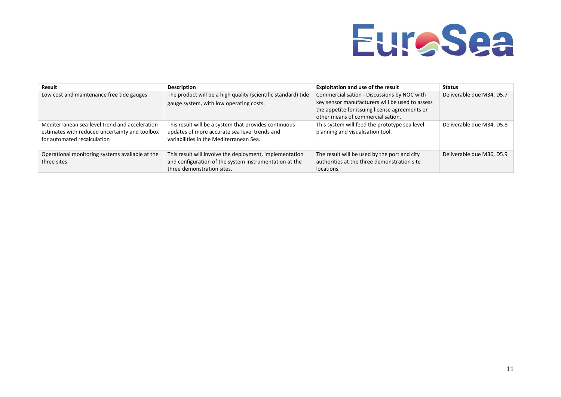

| Result                                          | <b>Description</b>                                            | <b>Exploitation and use of the result</b>       | <b>Status</b>             |
|-------------------------------------------------|---------------------------------------------------------------|-------------------------------------------------|---------------------------|
| Low cost and maintenance free tide gauges       | The product will be a high quality (scientific standard) tide | Commercialisation - Discussions by NOC with     | Deliverable due M34, D5.7 |
|                                                 | gauge system, with low operating costs.                       | key sensor manufacturers will be used to assess |                           |
|                                                 |                                                               | the appetite for issuing license agreements or  |                           |
|                                                 |                                                               | other means of commercialisation.               |                           |
| Mediterranean sea-level trend and acceleration  | This result will be a system that provides continuous         | This system will feed the prototype sea level   | Deliverable due M34, D5.8 |
| estimates with reduced uncertainty and toolbox  | updates of more accurate sea level trends and                 | planning and visualisation tool.                |                           |
| for automated recalculation                     | variabilities in the Mediterranean Sea.                       |                                                 |                           |
|                                                 |                                                               |                                                 |                           |
| Operational monitoring systems available at the | This result will involve the deployment, implementation       | The result will be used by the port and city    | Deliverable due M36, D5.9 |
| three sites                                     | and configuration of the system instrumentation at the        | authorities at the three demonstration site     |                           |
|                                                 | three demonstration sites.                                    | locations.                                      |                           |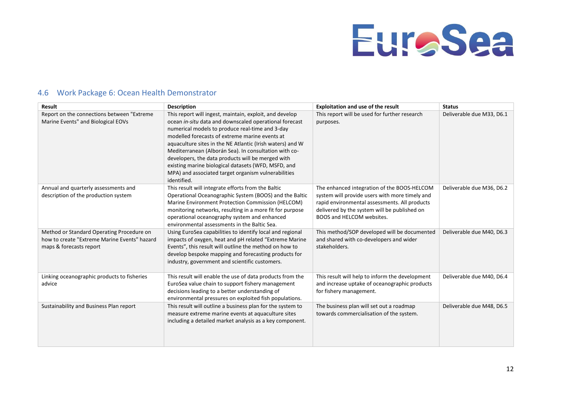

#### <span id="page-13-0"></span>**Result Description Exploitation Exploitation and use of the result Status** Report on the connections between "Extreme Marine Events" and Biological EOVs This report will ingest, maintain, exploit, and develop ocean *in-situ* data and downscaled operational forecast numerical models to produce real-time and 3-day modelled forecasts of extreme marine events at aquaculture sites in the NE Atlantic (Irish waters) and W Mediterranean (Alborán Sea). In consultation with codevelopers, the data products will be merged with existing marine biological datasets (WFD, MSFD, and MPA) and associated target organism vulnerabilities identified. This report will be used for further research purposes. Deliverable due M33, D6.1 Annual and quarterly assessments and description of the production system This result will integrate efforts from the Baltic Operational Oceanographic System (BOOS) and the Baltic Marine Environment Protection Commission (HELCOM) monitoring networks, resulting in a more fit for purpose operational oceanography system and enhanced environmental assessments in the Baltic Sea. The enhanced integration of the BOOS-HELCOM system will provide users with more timely and rapid environmental assessments. All products delivered by the system will be published on BOOS and HELCOM websites. Deliverable due M36, D6.2 Method or Standard Operating Procedure on how to create "Extreme Marine Events" hazard maps & forecasts report Using EuroSea capabilities to identify local and regional impacts of oxygen, heat and pH related "Extreme Marine Events", this result will outline the method on how to develop bespoke mapping and forecasting products for industry, government and scientific customers. This method/SOP developed will be documented and shared with co-developers and wider stakeholders. Deliverable due M40, D6.3 Linking oceanographic products to fisheries advice This result will enable the use of data products from the EuroSea value chain to support fishery management decisions leading to a better understanding of environmental pressures on exploited fish populations. This result will help to inform the development and increase uptake of oceanographic products for fishery management. Deliverable due M40, D6.4 Sustainability and Business Plan report This result will outline a business plan for the system to measure extreme marine events at aquaculture sites including a detailed market analysis as a key component. The business plan will set out a roadmap towards commercialisation of the system. Deliverable due M48, D6.5

### 4.6 Work Package 6: Ocean Health Demonstrator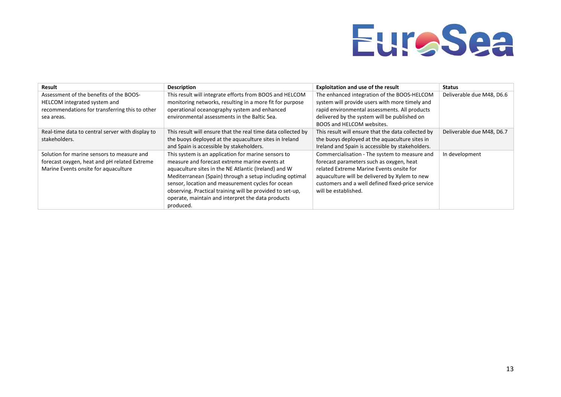

| Result                                           | <b>Description</b>                                           | <b>Exploitation and use of the result</b>          | <b>Status</b>             |
|--------------------------------------------------|--------------------------------------------------------------|----------------------------------------------------|---------------------------|
| Assessment of the benefits of the BOOS-          | This result will integrate efforts from BOOS and HELCOM      | The enhanced integration of the BOOS-HELCOM        | Deliverable due M48, D6.6 |
| HELCOM integrated system and                     | monitoring networks, resulting in a more fit for purpose     | system will provide users with more timely and     |                           |
| recommendations for transferring this to other   | operational oceanography system and enhanced                 | rapid environmental assessments. All products      |                           |
| sea areas.                                       | environmental assessments in the Baltic Sea.                 | delivered by the system will be published on       |                           |
|                                                  |                                                              | BOOS and HELCOM websites.                          |                           |
| Real-time data to central server with display to | This result will ensure that the real time data collected by | This result will ensure that the data collected by | Deliverable due M48, D6.7 |
| stakeholders.                                    | the buoys deployed at the aquaculture sites in Ireland       | the buoys deployed at the aquaculture sites in     |                           |
|                                                  | and Spain is accessible by stakeholders.                     | Ireland and Spain is accessible by stakeholders.   |                           |
| Solution for marine sensors to measure and       | This system is an application for marine sensors to          | Commercialisation - The system to measure and      | In development            |
| forecast oxygen, heat and pH related Extreme     | measure and forecast extreme marine events at                | forecast parameters such as oxygen, heat           |                           |
| Marine Events onsite for aquaculture             | aquaculture sites in the NE Atlantic (Ireland) and W         | related Extreme Marine Events onsite for           |                           |
|                                                  | Mediterranean (Spain) through a setup including optimal      | aquaculture will be delivered by Xylem to new      |                           |
|                                                  | sensor, location and measurement cycles for ocean            | customers and a well defined fixed-price service   |                           |
|                                                  | observing. Practical training will be provided to set-up,    | will be established.                               |                           |
|                                                  | operate, maintain and interpret the data products            |                                                    |                           |
|                                                  | produced.                                                    |                                                    |                           |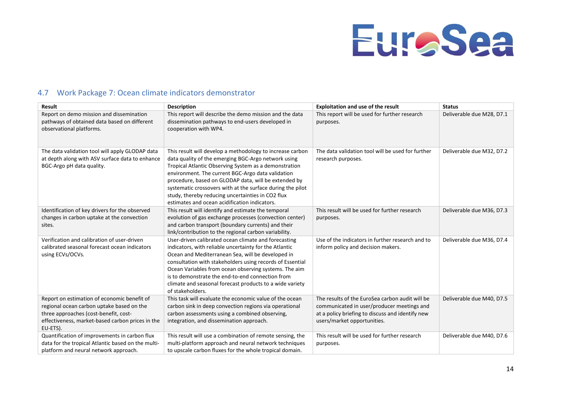

### 4.7 Work Package 7: Ocean climate indicators demonstrator

<span id="page-15-0"></span>

| <b>Result</b>                                                                                                                                                                                     | <b>Description</b>                                                                                                                                                                                                                                                                                                                                                                                                                                         | <b>Exploitation and use of the result</b>                                                                                                                                        | <b>Status</b>             |
|---------------------------------------------------------------------------------------------------------------------------------------------------------------------------------------------------|------------------------------------------------------------------------------------------------------------------------------------------------------------------------------------------------------------------------------------------------------------------------------------------------------------------------------------------------------------------------------------------------------------------------------------------------------------|----------------------------------------------------------------------------------------------------------------------------------------------------------------------------------|---------------------------|
| Report on demo mission and dissemination<br>pathways of obtained data based on different<br>observational platforms.                                                                              | This report will describe the demo mission and the data<br>dissemination pathways to end-users developed in<br>cooperation with WP4.                                                                                                                                                                                                                                                                                                                       | This report will be used for further research<br>purposes.                                                                                                                       | Deliverable due M28, D7.1 |
| The data validation tool will apply GLODAP data<br>at depth along with ASV surface data to enhance<br>BGC-Argo pH data quality.                                                                   | This result will develop a methodology to increase carbon<br>data quality of the emerging BGC-Argo network using<br>Tropical Atlantic Observing System as a demonstration<br>environment. The current BGC-Argo data validation<br>procedure, based on GLODAP data, will be extended by<br>systematic crossovers with at the surface during the pilot<br>study, thereby reducing uncertainties in CO2 flux<br>estimates and ocean acidification indicators. | The data validation tool will be used for further<br>research purposes.                                                                                                          | Deliverable due M32, D7.2 |
| Identification of key drivers for the observed<br>changes in carbon uptake at the convection<br>sites.                                                                                            | This result will identify and estimate the temporal<br>evolution of gas exchange processes (convection center)<br>and carbon transport (boundary currents) and their<br>link/contribution to the regional carbon variability.                                                                                                                                                                                                                              | This result will be used for further research<br>purposes.                                                                                                                       | Deliverable due M36, D7.3 |
| Verification and calibration of user-driven<br>calibrated seasonal forecast ocean indicators<br>using ECVs/OCVs.                                                                                  | User-driven calibrated ocean climate and forecasting<br>indicators, with reliable uncertainty for the Atlantic<br>Ocean and Mediterranean Sea, will be developed in<br>consultation with stakeholders using records of Essential<br>Ocean Variables from ocean observing systems. The aim<br>is to demonstrate the end-to-end connection from<br>climate and seasonal forecast products to a wide variety<br>of stakeholders.                              | Use of the indicators in further research and to<br>inform policy and decision makers.                                                                                           | Deliverable due M36, D7.4 |
| Report on estimation of economic benefit of<br>regional ocean carbon uptake based on the<br>three approaches (cost-benefit, cost-<br>effectiveness, market-based carbon prices in the<br>EU-ETS). | This task will evaluate the economic value of the ocean<br>carbon sink in deep convection regions via operational<br>carbon assessments using a combined observing,<br>integration, and dissemination approach.                                                                                                                                                                                                                                            | The results of the EuroSea carbon audit will be<br>communicated in user/producer meetings and<br>at a policy briefing to discuss and identify new<br>users/market opportunities. | Deliverable due M40, D7.5 |
| Quantification of improvements in carbon flux<br>data for the tropical Atlantic based on the multi-<br>platform and neural network approach.                                                      | This result will use a combination of remote sensing, the<br>multi-platform approach and neural network techniques<br>to upscale carbon fluxes for the whole tropical domain.                                                                                                                                                                                                                                                                              | This result will be used for further research<br>purposes.                                                                                                                       | Deliverable due M40, D7.6 |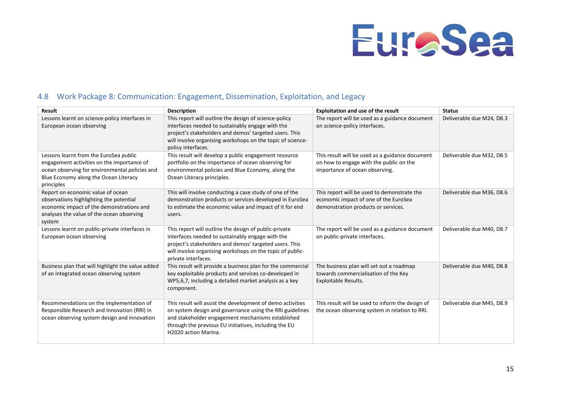

### 4.8 Work Package 8: Communication: Engagement, Dissemination, Exploitation, and Legacy

<span id="page-16-0"></span>

| <b>Result</b>                                                                                                                                                                                 | <b>Description</b>                                                                                                                                                                                                                                           | <b>Exploitation and use of the result</b>                                                                                    | <b>Status</b>             |
|-----------------------------------------------------------------------------------------------------------------------------------------------------------------------------------------------|--------------------------------------------------------------------------------------------------------------------------------------------------------------------------------------------------------------------------------------------------------------|------------------------------------------------------------------------------------------------------------------------------|---------------------------|
| Lessons learnt on science-policy interfaces in<br>European ocean observing                                                                                                                    | This report will outline the design of science-policy<br>interfaces needed to sustainably engage with the<br>project's stakeholders and demos' targeted users. This<br>will involve organising workshops on the topic of science-<br>policy interfaces.      | The report will be used as a guidance document<br>on science-policy interfaces.                                              | Deliverable due M24, D8.3 |
| Lessons learnt from the EuroSea public<br>engagement activities on the importance of<br>ocean observing for environmental policies and<br>Blue Economy along the Ocean Literacy<br>principles | This result will develop a public engagement resource<br>portfolio on the importance of ocean observing for<br>environmental policies and Blue Economy, along the<br>Ocean Literacy principles.                                                              | This result will be used as a guidance document<br>on how to engage with the public on the<br>importance of ocean observing. | Deliverable due M32, D8.5 |
| Report on economic value of ocean<br>observations highlighting the potential<br>economic impact of the demonstrations and<br>analyses the value of the ocean observing<br>system              | This will involve conducting a case study of one of the<br>demonstration products or services developed in EuroSea<br>to estimate the economic value and impact of it for end<br>users.                                                                      | This report will be used to demonstrate the<br>economic impact of one of the EuroSea<br>demonstration products or services.  | Deliverable due M36, D8.6 |
| Lessons learnt on public-private interfaces in<br>European ocean observing                                                                                                                    | This report will outline the design of public-private<br>interfaces needed to sustainably engage with the<br>project's stakeholders and demos' targeted users. This<br>will involve organising workshops on the topic of public-<br>private interfaces.      | The report will be used as a guidance document<br>on public-private interfaces.                                              | Deliverable due M40, D8.7 |
| Business plan that will highlight the value added<br>of an integrated ocean observing system                                                                                                  | This result will provide a business plan for the commercial<br>key exploitable products and services co-developed in<br>WP5,6,7, including a detailed market analysis as a key<br>component.                                                                 | The business plan will set out a roadmap<br>towards commercialisation of the Key<br>Exploitable Results.                     | Deliverable due M40, D8.8 |
| Recommendations on the implementation of<br>Responsible Research and Innovation (RRI) in<br>ocean observing system design and innovation                                                      | This result will assist the development of demo activities<br>on system design and governance using the RRI guidelines<br>and stakeholder engagement mechanisms established<br>through the previous EU initiatives, including the EU<br>H2020 action Marina. | This result will be used to inform the design of<br>the ocean observing system in relation to RRI.                           | Deliverable due M45, D8.9 |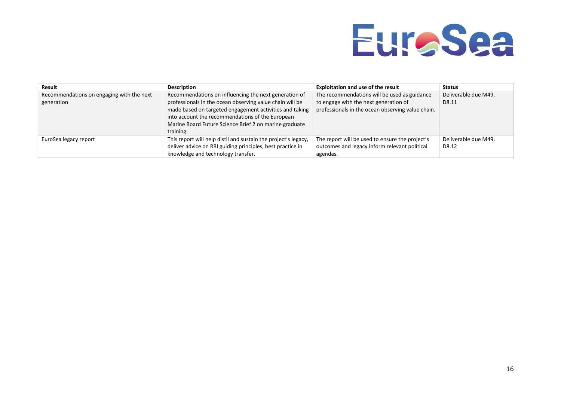

| Result                                    | <b>Description</b>                                             | <b>Exploitation and use of the result</b>         | <b>Status</b>        |
|-------------------------------------------|----------------------------------------------------------------|---------------------------------------------------|----------------------|
| Recommendations on engaging with the next | Recommendations on influencing the next generation of          | The recommendations will be used as guidance      | Deliverable due M49, |
| generation                                | professionals in the ocean observing value chain will be       | to engage with the next generation of             | D8.11                |
|                                           | made based on targeted engagement activities and taking        | professionals in the ocean observing value chain. |                      |
|                                           | into account the recommendations of the European               |                                                   |                      |
|                                           | Marine Board Future Science Brief 2 on marine graduate         |                                                   |                      |
|                                           | training.                                                      |                                                   |                      |
| EuroSea legacy report                     | This report will help distil and sustain the project's legacy, | The report will be used to ensure the project's   | Deliverable due M49, |
|                                           | deliver advice on RRI guiding principles, best practice in     | outcomes and legacy inform relevant political     | D8.12                |
|                                           | knowledge and technology transfer.                             | agendas.                                          |                      |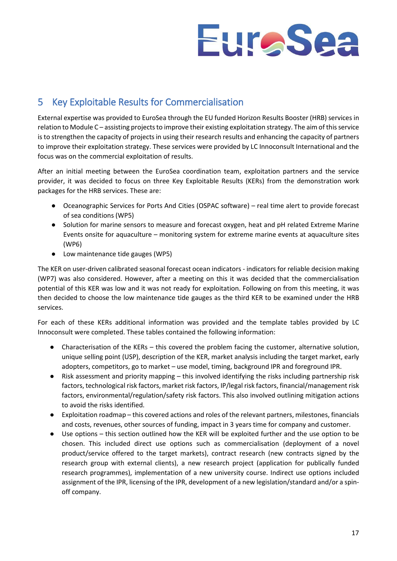

## <span id="page-18-0"></span>5 Key Exploitable Results for Commercialisation

External expertise was provided to EuroSea through the EU funded Horizon Results Booster (HRB) services in relation to Module C – assisting projects to improve their existing exploitation strategy. The aim of this service is to strengthen the capacity of projects in using their research results and enhancing the capacity of partners to improve their exploitation strategy. These services were provided by LC Innoconsult International and the focus was on the commercial exploitation of results.

After an initial meeting between the EuroSea coordination team, exploitation partners and the service provider, it was decided to focus on three Key Exploitable Results (KERs) from the demonstration work packages for the HRB services. These are:

- Oceanographic Services for Ports And Cities (OSPAC software) real time alert to provide forecast of sea conditions (WP5)
- Solution for marine sensors to measure and forecast oxygen, heat and pH related Extreme Marine Events onsite for aquaculture – monitoring system for extreme marine events at aquaculture sites (WP6)
- Low maintenance tide gauges (WP5)

The KER on user-driven calibrated seasonal forecast ocean indicators - indicators for reliable decision making (WP7) was also considered. However, after a meeting on this it was decided that the commercialisation potential of this KER was low and it was not ready for exploitation. Following on from this meeting, it was then decided to choose the low maintenance tide gauges as the third KER to be examined under the HRB services.

For each of these KERs additional information was provided and the template tables provided by LC Innoconsult were completed. These tables contained the following information:

- Characterisation of the KERs this covered the problem facing the customer, alternative solution, unique selling point (USP), description of the KER, market analysis including the target market, early adopters, competitors, go to market – use model, timing, background IPR and foreground IPR.
- Risk assessment and priority mapping this involved identifying the risks including partnership risk factors, technological risk factors, market risk factors, IP/legal risk factors, financial/management risk factors, environmental/regulation/safety risk factors. This also involved outlining mitigation actions to avoid the risks identified.
- Exploitation roadmap this covered actions and roles of the relevant partners, milestones, financials and costs, revenues, other sources of funding, impact in 3 years time for company and customer.
- Use options this section outlined how the KER will be exploited further and the use option to be chosen. This included direct use options such as commercialisation (deployment of a novel product/service offered to the target markets), contract research (new contracts signed by the research group with external clients), a new research project (application for publically funded research programmes), implementation of a new university course. Indirect use options included assignment of the IPR, licensing of the IPR, development of a new legislation/standard and/or a spinoff company.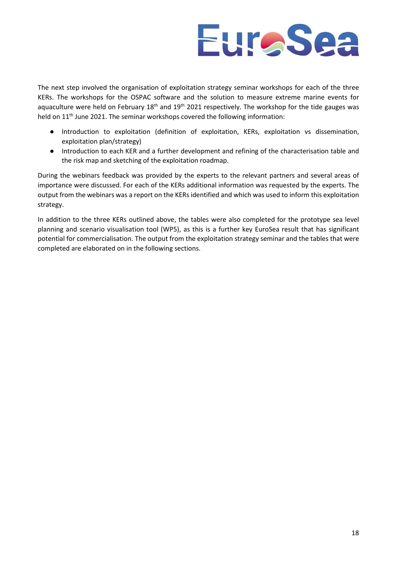

The next step involved the organisation of exploitation strategy seminar workshops for each of the three KERs. The workshops for the OSPAC software and the solution to measure extreme marine events for aquaculture were held on February 18<sup>th</sup> and 19<sup>th</sup> 2021 respectively. The workshop for the tide gauges was held on 11<sup>th</sup> June 2021. The seminar workshops covered the following information:

- Introduction to exploitation (definition of exploitation, KERs, exploitation vs dissemination, exploitation plan/strategy)
- Introduction to each KER and a further development and refining of the characterisation table and the risk map and sketching of the exploitation roadmap.

During the webinars feedback was provided by the experts to the relevant partners and several areas of importance were discussed. For each of the KERs additional information was requested by the experts. The output from the webinars was a report on the KERs identified and which was used to inform this exploitation strategy.

In addition to the three KERs outlined above, the tables were also completed for the prototype sea level planning and scenario visualisation tool (WP5), as this is a further key EuroSea result that has significant potential for commercialisation. The output from the exploitation strategy seminar and the tables that were completed are elaborated on in the following sections.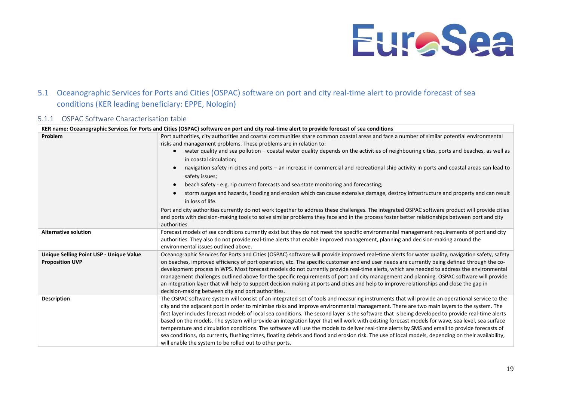

## 5.1 Oceanographic Services for Ports and Cities (OSPAC) software on port and city real-time alert to provide forecast of sea conditions (KER leading beneficiary: EPPE, Nologin)

### 5.1.1 OSPAC Software Characterisation table

<span id="page-20-1"></span><span id="page-20-0"></span>

|                                         | KER name: Oceanographic Services for Ports and Cities (OSPAC) software on port and city real-time alert to provide forecast of sea conditions                                                                                                                                             |  |  |  |
|-----------------------------------------|-------------------------------------------------------------------------------------------------------------------------------------------------------------------------------------------------------------------------------------------------------------------------------------------|--|--|--|
| Problem                                 | Port authorities, city authorities and coastal communities share common coastal areas and face a number of similar potential environmental                                                                                                                                                |  |  |  |
|                                         | risks and management problems. These problems are in relation to:                                                                                                                                                                                                                         |  |  |  |
|                                         | water quality and sea pollution - coastal water quality depends on the activities of neighbouring cities, ports and beaches, as well as                                                                                                                                                   |  |  |  |
|                                         | in coastal circulation;                                                                                                                                                                                                                                                                   |  |  |  |
|                                         | navigation safety in cities and ports – an increase in commercial and recreational ship activity in ports and coastal areas can lead to<br>$\bullet$                                                                                                                                      |  |  |  |
|                                         | safety issues;                                                                                                                                                                                                                                                                            |  |  |  |
|                                         | beach safety - e.g. rip current forecasts and sea state monitoring and forecasting;<br>$\bullet$                                                                                                                                                                                          |  |  |  |
|                                         | storm surges and hazards, flooding and erosion which can cause extensive damage, destroy infrastructure and property and can result                                                                                                                                                       |  |  |  |
|                                         | in loss of life.                                                                                                                                                                                                                                                                          |  |  |  |
|                                         | Port and city authorities currently do not work together to address these challenges. The integrated OSPAC software product will provide cities                                                                                                                                           |  |  |  |
|                                         | and ports with decision-making tools to solve similar problems they face and in the process foster better relationships between port and city                                                                                                                                             |  |  |  |
|                                         | authorities.                                                                                                                                                                                                                                                                              |  |  |  |
| <b>Alternative solution</b>             | Forecast models of sea conditions currently exist but they do not meet the specific environmental management requirements of port and city                                                                                                                                                |  |  |  |
|                                         | authorities. They also do not provide real-time alerts that enable improved management, planning and decision-making around the                                                                                                                                                           |  |  |  |
|                                         | environmental issues outlined above.                                                                                                                                                                                                                                                      |  |  |  |
| Unique Selling Point USP - Unique Value | Oceanographic Services for Ports and Cities (OSPAC) software will provide improved real-time alerts for water quality, navigation safety, safety                                                                                                                                          |  |  |  |
| <b>Proposition UVP</b>                  | on beaches, improved efficiency of port operation, etc. The specific customer and end user needs are currently being defined through the co-<br>development process in WP5. Most forecast models do not currently provide real-time alerts, which are needed to address the environmental |  |  |  |
|                                         | management challenges outlined above for the specific requirements of port and city management and planning. OSPAC software will provide                                                                                                                                                  |  |  |  |
|                                         | an integration layer that will help to support decision making at ports and cities and help to improve relationships and close the gap in                                                                                                                                                 |  |  |  |
|                                         | decision-making between city and port authorities.                                                                                                                                                                                                                                        |  |  |  |
| <b>Description</b>                      | The OSPAC software system will consist of an integrated set of tools and measuring instruments that will provide an operational service to the                                                                                                                                            |  |  |  |
|                                         | city and the adjacent port in order to minimise risks and improve environmental management. There are two main layers to the system. The                                                                                                                                                  |  |  |  |
|                                         | first layer includes forecast models of local sea conditions. The second layer is the software that is being developed to provide real-time alerts                                                                                                                                        |  |  |  |
|                                         | based on the models. The system will provide an integration layer that will work with existing forecast models for wave, sea level, sea surface                                                                                                                                           |  |  |  |
|                                         | temperature and circulation conditions. The software will use the models to deliver real-time alerts by SMS and email to provide forecasts of                                                                                                                                             |  |  |  |
|                                         | sea conditions, rip currents, flushing times, floating debris and flood and erosion risk. The use of local models, depending on their availability,                                                                                                                                       |  |  |  |
|                                         | will enable the system to be rolled out to other ports.                                                                                                                                                                                                                                   |  |  |  |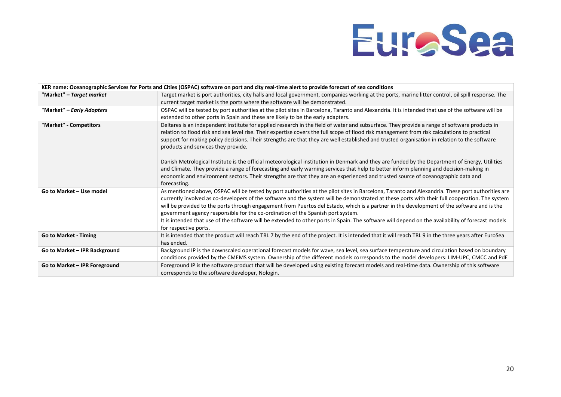|                               | KER name: Oceanographic Services for Ports and Cities (OSPAC) software on port and city real-time alert to provide forecast of sea conditions                                                                                                                                                                                                                                                                                                                                                                                                                                                                                                                                                                     |
|-------------------------------|-------------------------------------------------------------------------------------------------------------------------------------------------------------------------------------------------------------------------------------------------------------------------------------------------------------------------------------------------------------------------------------------------------------------------------------------------------------------------------------------------------------------------------------------------------------------------------------------------------------------------------------------------------------------------------------------------------------------|
| "Market" – Target market      | Target market is port authorities, city halls and local government, companies working at the ports, marine litter control, oil spill response. The                                                                                                                                                                                                                                                                                                                                                                                                                                                                                                                                                                |
|                               | current target market is the ports where the software will be demonstrated.                                                                                                                                                                                                                                                                                                                                                                                                                                                                                                                                                                                                                                       |
| "Market" - Early Adopters     | OSPAC will be tested by port authorities at the pilot sites in Barcelona, Taranto and Alexandria. It is intended that use of the software will be                                                                                                                                                                                                                                                                                                                                                                                                                                                                                                                                                                 |
|                               | extended to other ports in Spain and these are likely to be the early adapters.                                                                                                                                                                                                                                                                                                                                                                                                                                                                                                                                                                                                                                   |
| "Market" - Competitors        | Deltares is an independent institute for applied research in the field of water and subsurface. They provide a range of software products in<br>relation to flood risk and sea level rise. Their expertise covers the full scope of flood risk management from risk calculations to practical<br>support for making policy decisions. Their strengths are that they are well established and trusted organisation in relation to the software<br>products and services they provide.                                                                                                                                                                                                                              |
|                               | Danish Metrological Institute is the official meteorological institution in Denmark and they are funded by the Department of Energy, Utilities<br>and Climate. They provide a range of forecasting and early warning services that help to better inform planning and decision-making in<br>economic and environment sectors. Their strengths are that they are an experienced and trusted source of oceanographic data and<br>forecasting.                                                                                                                                                                                                                                                                       |
| Go to Market - Use model      | As mentioned above, OSPAC will be tested by port authorities at the pilot sites in Barcelona, Taranto and Alexandria. These port authorities are<br>currently involved as co-developers of the software and the system will be demonstrated at these ports with their full cooperation. The system<br>will be provided to the ports through engagement from Puertos del Estado, which is a partner in the development of the software and is the<br>government agency responsible for the co-ordination of the Spanish port system.<br>It is intended that use of the software will be extended to other ports in Spain. The software will depend on the availability of forecast models<br>for respective ports. |
| Go to Market - Timing         | It is intended that the product will reach TRL 7 by the end of the project. It is intended that it will reach TRL 9 in the three years after EuroSea<br>has ended.                                                                                                                                                                                                                                                                                                                                                                                                                                                                                                                                                |
| Go to Market - IPR Background | Background IP is the downscaled operational forecast models for wave, sea level, sea surface temperature and circulation based on boundary<br>conditions provided by the CMEMS system. Ownership of the different models corresponds to the model developers: LIM-UPC, CMCC and PdE                                                                                                                                                                                                                                                                                                                                                                                                                               |
| Go to Market - IPR Foreground | Foreground IP is the software product that will be developed using existing forecast models and real-time data. Ownership of this software<br>corresponds to the software developer, Nologin.                                                                                                                                                                                                                                                                                                                                                                                                                                                                                                                     |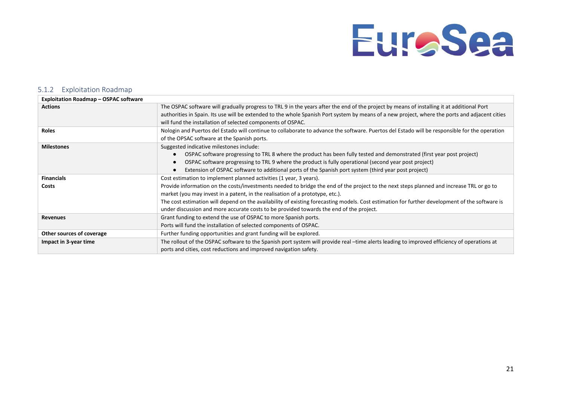#### 5.1.2 Exploitation Roadmap

<span id="page-22-0"></span>

| <b>Exploitation Roadmap - OSPAC software</b> |                                                                                                                                                |
|----------------------------------------------|------------------------------------------------------------------------------------------------------------------------------------------------|
| <b>Actions</b>                               | The OSPAC software will gradually progress to TRL 9 in the years after the end of the project by means of installing it at additional Port     |
|                                              | authorities in Spain. Its use will be extended to the whole Spanish Port system by means of a new project, where the ports and adjacent cities |
|                                              | will fund the installation of selected components of OSPAC.                                                                                    |
| <b>Roles</b>                                 | Nologin and Puertos del Estado will continue to collaborate to advance the software. Puertos del Estado will be responsible for the operation  |
|                                              | of the OPSAC software at the Spanish ports.                                                                                                    |
| <b>Milestones</b>                            | Suggested indicative milestones include:                                                                                                       |
|                                              | OSPAC software progressing to TRL 8 where the product has been fully tested and demonstrated (first year post project)<br>$\bullet$            |
|                                              | OSPAC software progressing to TRL 9 where the product is fully operational (second year post project)<br>$\bullet$                             |
|                                              | Extension of OSPAC software to additional ports of the Spanish port system (third year post project)                                           |
| <b>Financials</b>                            | Cost estimation to implement planned activities (1 year, 3 years).                                                                             |
| Costs                                        | Provide information on the costs/investments needed to bridge the end of the project to the next steps planned and increase TRL or go to       |
|                                              | market (you may invest in a patent, in the realisation of a prototype, etc.).                                                                  |
|                                              | The cost estimation will depend on the availability of existing forecasting models. Cost estimation for further development of the software is |
|                                              | under discussion and more accurate costs to be provided towards the end of the project.                                                        |
| <b>Revenues</b>                              | Grant funding to extend the use of OSPAC to more Spanish ports.                                                                                |
|                                              | Ports will fund the installation of selected components of OSPAC.                                                                              |
| Other sources of coverage                    | Further funding opportunities and grant funding will be explored.                                                                              |
| Impact in 3-year time                        | The rollout of the OSPAC software to the Spanish port system will provide real -time alerts leading to improved efficiency of operations at    |
|                                              | ports and cities, cost reductions and improved navigation safety.                                                                              |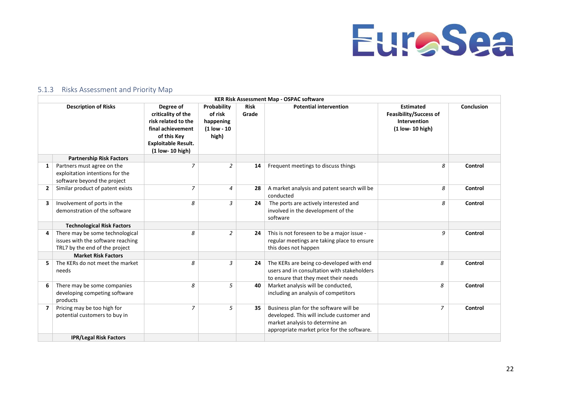

### 5.1.3 Risks Assessment and Priority Map

<span id="page-23-0"></span>

|   | <b>KER Risk Assessment Map - OSPAC software</b>                                                        |                                                                                                                                                |                                                             |                      |                                                                                                                                                                      |                                                                                       |            |
|---|--------------------------------------------------------------------------------------------------------|------------------------------------------------------------------------------------------------------------------------------------------------|-------------------------------------------------------------|----------------------|----------------------------------------------------------------------------------------------------------------------------------------------------------------------|---------------------------------------------------------------------------------------|------------|
|   | <b>Description of Risks</b>                                                                            | Degree of<br>criticality of the<br>risk related to the<br>final achievement<br>of this Key<br><b>Exploitable Result.</b><br>$(1$ low- 10 high) | Probability<br>of risk<br>happening<br>(1 low - 10<br>high) | <b>Risk</b><br>Grade | <b>Potential intervention</b>                                                                                                                                        | <b>Estimated</b><br><b>Feasibility/Success of</b><br>Intervention<br>(1 low- 10 high) | Conclusion |
|   | <b>Partnership Risk Factors</b>                                                                        |                                                                                                                                                |                                                             |                      |                                                                                                                                                                      |                                                                                       |            |
| 1 | Partners must agree on the<br>exploitation intentions for the<br>software beyond the project           | 7                                                                                                                                              | $\overline{2}$                                              | 14                   | Frequent meetings to discuss things                                                                                                                                  | 8                                                                                     | Control    |
|   | Similar product of patent exists                                                                       | 7                                                                                                                                              | 4                                                           | 28                   | A market analysis and patent search will be<br>conducted                                                                                                             | 8                                                                                     | Control    |
| 3 | Involvement of ports in the<br>demonstration of the software                                           | 8                                                                                                                                              | 3                                                           | 24                   | The ports are actively interested and<br>involved in the development of the<br>software                                                                              | 8                                                                                     | Control    |
|   | <b>Technological Risk Factors</b>                                                                      |                                                                                                                                                |                                                             |                      |                                                                                                                                                                      |                                                                                       |            |
| 4 | There may be some technological<br>issues with the software reaching<br>TRL7 by the end of the project | 8                                                                                                                                              | $\overline{2}$                                              | 24                   | This is not foreseen to be a major issue -<br>regular meetings are taking place to ensure<br>this does not happen                                                    | 9                                                                                     | Control    |
|   | <b>Market Risk Factors</b>                                                                             |                                                                                                                                                |                                                             |                      |                                                                                                                                                                      |                                                                                       |            |
|   | The KERs do not meet the market<br>needs                                                               | 8                                                                                                                                              | 3                                                           | 24                   | The KERs are being co-developed with end<br>users and in consultation with stakeholders<br>to ensure that they meet their needs                                      | 8                                                                                     | Control    |
| 6 | There may be some companies<br>developing competing software<br>products                               | 8                                                                                                                                              | 5                                                           | 40                   | Market analysis will be conducted,<br>including an analysis of competitors                                                                                           | 8                                                                                     | Control    |
|   | Pricing may be too high for<br>potential customers to buy in                                           | $\overline{z}$                                                                                                                                 | 5                                                           | 35                   | Business plan for the software will be<br>developed. This will include customer and<br>market analysis to determine an<br>appropriate market price for the software. | $\overline{7}$                                                                        | Control    |
|   | <b>IPR/Legal Risk Factors</b>                                                                          |                                                                                                                                                |                                                             |                      |                                                                                                                                                                      |                                                                                       |            |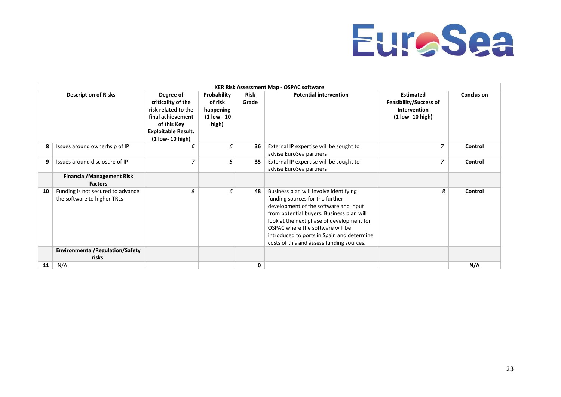

|    | <b>KER Risk Assessment Map - OSPAC software</b>                                                     |                                                                                                                                                |                                                             |               |                                                                                                                                                                                                                                                                                                                                             |                                                                                       |            |
|----|-----------------------------------------------------------------------------------------------------|------------------------------------------------------------------------------------------------------------------------------------------------|-------------------------------------------------------------|---------------|---------------------------------------------------------------------------------------------------------------------------------------------------------------------------------------------------------------------------------------------------------------------------------------------------------------------------------------------|---------------------------------------------------------------------------------------|------------|
|    | <b>Description of Risks</b>                                                                         | Degree of<br>criticality of the<br>risk related to the<br>final achievement<br>of this Key<br><b>Exploitable Result.</b><br>$(1$ low- 10 high) | Probability<br>of risk<br>happening<br>(1 low - 10<br>high) | Risk<br>Grade | <b>Potential intervention</b>                                                                                                                                                                                                                                                                                                               | <b>Estimated</b><br><b>Feasibility/Success of</b><br>Intervention<br>(1 low- 10 high) | Conclusion |
| 8  | Issues around ownerhsip of IP                                                                       | 6                                                                                                                                              | 6                                                           | 36            | External IP expertise will be sought to<br>advise EuroSea partners                                                                                                                                                                                                                                                                          | 7                                                                                     | Control    |
| 9  | Issues around disclosure of IP                                                                      | $\overline{7}$                                                                                                                                 | 5                                                           | 35            | External IP expertise will be sought to<br>advise EuroSea partners                                                                                                                                                                                                                                                                          | $\overline{z}$                                                                        | Control    |
|    | <b>Financial/Management Risk</b><br><b>Factors</b>                                                  |                                                                                                                                                |                                                             |               |                                                                                                                                                                                                                                                                                                                                             |                                                                                       |            |
| 10 | Funding is not secured to advance<br>the software to higher TRLs<br>Environmental/Regulation/Safety | 8                                                                                                                                              | 6                                                           | 48            | Business plan will involve identifying<br>funding sources for the further<br>development of the software and input<br>from potential buyers. Business plan will<br>look at the next phase of development for<br>OSPAC where the software will be<br>introduced to ports in Spain and determine<br>costs of this and assess funding sources. | 8                                                                                     | Control    |
|    | risks:                                                                                              |                                                                                                                                                |                                                             |               |                                                                                                                                                                                                                                                                                                                                             |                                                                                       |            |
| 11 | N/A                                                                                                 |                                                                                                                                                |                                                             | 0             |                                                                                                                                                                                                                                                                                                                                             |                                                                                       | N/A        |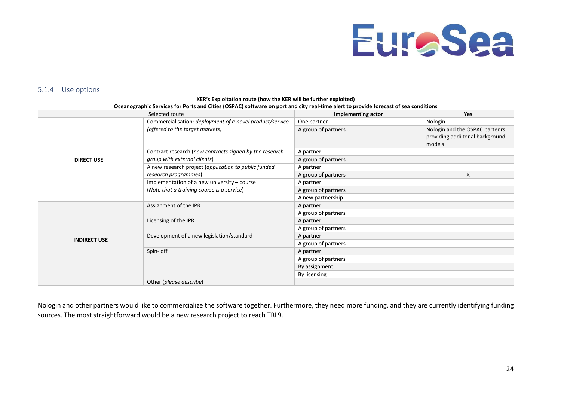

#### 5.1.4 Use options

| KER's Exploitation route (how the KER will be further exploited)                                                                    |                                                          |                           |                                                                             |  |  |
|-------------------------------------------------------------------------------------------------------------------------------------|----------------------------------------------------------|---------------------------|-----------------------------------------------------------------------------|--|--|
| Oceanographic Services for Ports and Cities (OSPAC) software on port and city real-time alert to provide forecast of sea conditions |                                                          |                           |                                                                             |  |  |
|                                                                                                                                     | Selected route                                           | <b>Implementing actor</b> | <b>Yes</b>                                                                  |  |  |
|                                                                                                                                     | Commercialisation: deployment of a novel product/service |                           | Nologin                                                                     |  |  |
|                                                                                                                                     | (offered to the target markets)                          | A group of partners       | Nologin and the OSPAC partenrs<br>providing addiitonal background<br>models |  |  |
|                                                                                                                                     | Contract research (new contracts signed by the research  | A partner                 |                                                                             |  |  |
| <b>DIRECT USE</b>                                                                                                                   | group with external clients)                             | A group of partners       |                                                                             |  |  |
|                                                                                                                                     | A new research project (application to public funded     | A partner                 |                                                                             |  |  |
|                                                                                                                                     | research programmes)                                     | A group of partners       | X                                                                           |  |  |
|                                                                                                                                     | Implementation of a new university $-$ course            | A partner                 |                                                                             |  |  |
|                                                                                                                                     | (Note that a training course is a service)               | A group of partners       |                                                                             |  |  |
|                                                                                                                                     |                                                          | A new partnership         |                                                                             |  |  |
|                                                                                                                                     | Assignment of the IPR                                    | A partner                 |                                                                             |  |  |
|                                                                                                                                     |                                                          | A group of partners       |                                                                             |  |  |
|                                                                                                                                     | Licensing of the IPR                                     | A partner                 |                                                                             |  |  |
|                                                                                                                                     |                                                          | A group of partners       |                                                                             |  |  |
| <b>INDIRECT USE</b>                                                                                                                 | Development of a new legislation/standard                | A partner                 |                                                                             |  |  |
|                                                                                                                                     |                                                          | A group of partners       |                                                                             |  |  |
|                                                                                                                                     | Spin- off                                                | A partner                 |                                                                             |  |  |
|                                                                                                                                     |                                                          | A group of partners       |                                                                             |  |  |
|                                                                                                                                     |                                                          | By assignment             |                                                                             |  |  |
|                                                                                                                                     |                                                          | By licensing              |                                                                             |  |  |
|                                                                                                                                     | Other (please describe)                                  |                           |                                                                             |  |  |

<span id="page-25-0"></span>Nologin and other partners would like to commercialize the software together. Furthermore, they need more funding, and they are currently identifying funding sources. The most straightforward would be a new research project to reach TRL9.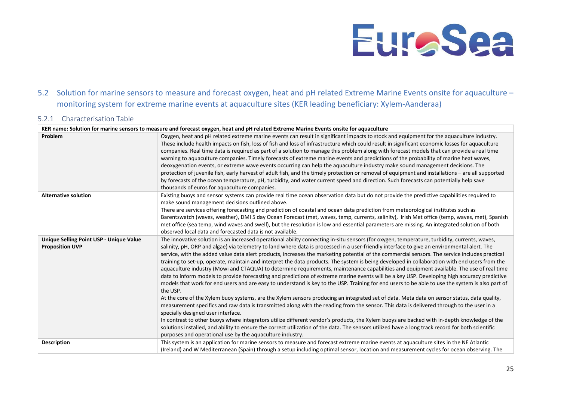## 5.2 Solution for marine sensors to measure and forecast oxygen, heat and pH related Extreme Marine Events onsite for aquaculture – monitoring system for extreme marine events at aquaculture sites (KER leading beneficiary: Xylem-Aanderaa)

### 5.2.1 Characterisation Table

<span id="page-26-1"></span><span id="page-26-0"></span>

|                                                                   | KER name: Solution for marine sensors to measure and forecast oxygen, heat and pH related Extreme Marine Events onsite for aquaculture                                                                                                                                                                                                                                                                                                                                                                                                                                                                                                                                                                                                                                                                                                                                                                                                                                                                                                                                                                                                                                                                                                                                                                                                                                                                                                                                                                                                                                                                                                                                                                                                                        |
|-------------------------------------------------------------------|---------------------------------------------------------------------------------------------------------------------------------------------------------------------------------------------------------------------------------------------------------------------------------------------------------------------------------------------------------------------------------------------------------------------------------------------------------------------------------------------------------------------------------------------------------------------------------------------------------------------------------------------------------------------------------------------------------------------------------------------------------------------------------------------------------------------------------------------------------------------------------------------------------------------------------------------------------------------------------------------------------------------------------------------------------------------------------------------------------------------------------------------------------------------------------------------------------------------------------------------------------------------------------------------------------------------------------------------------------------------------------------------------------------------------------------------------------------------------------------------------------------------------------------------------------------------------------------------------------------------------------------------------------------------------------------------------------------------------------------------------------------|
| Problem                                                           | Oxygen, heat and pH related extreme marine events can result in significant impacts to stock and equipment for the aquaculture industry.<br>These include health impacts on fish, loss of fish and loss of infrastructure which could result in significant economic losses for aquaculture<br>companies. Real time data is required as part of a solution to manage this problem along with forecast models that can provide a real time<br>warning to aquaculture companies. Timely forecasts of extreme marine events and predictions of the probability of marine heat waves,<br>deoxygenation events, or extreme wave events occurring can help the aquaculture industry make sound management decisions. The<br>protection of juvenile fish, early harvest of adult fish, and the timely protection or removal of equipment and installations - are all supported<br>by forecasts of the ocean temperature, pH, turbidity, and water current speed and direction. Such forecasts can potentially help save<br>thousands of euros for aquaculture companies.                                                                                                                                                                                                                                                                                                                                                                                                                                                                                                                                                                                                                                                                                             |
| <b>Alternative solution</b>                                       | Existing buoys and sensor systems can provide real time ocean observation data but do not provide the predictive capabilities required to<br>make sound management decisions outlined above.<br>There are services offering forecasting and prediction of coastal and ocean data prediction from meteorological institutes such as<br>Barentswatch (waves, weather), DMI 5 day Ocean Forecast (met, waves, temp, currents, salinity), Irish Met office (temp, waves, met), Spanish<br>met office (sea temp, wind waves and swell), but the resolution is low and essential parameters are missing. An integrated solution of both<br>observed local data and forecasted data is not available.                                                                                                                                                                                                                                                                                                                                                                                                                                                                                                                                                                                                                                                                                                                                                                                                                                                                                                                                                                                                                                                                |
| Unique Selling Point USP - Unique Value<br><b>Proposition UVP</b> | The innovative solution is an increased operational ability connecting in-situ sensors (for oxygen, temperature, turbidity, currents, waves,<br>salinity, pH, ORP and algae) via telemetry to land where data is processed in a user-friendly interface to give an environmental alert. The<br>service, with the added value data alert products, increases the marketing potential of the commercial sensors. The service includes practical<br>training to set-up, operate, maintain and interpret the data products. The system is being developed in collaboration with end users from the<br>aquaculture industry (Mowi and CTAQUA) to determine requirements, maintenance capabilities and equipment available. The use of real time<br>data to inform models to provide forecasting and predictions of extreme marine events will be a key USP. Developing high accuracy predictive<br>models that work for end users and are easy to understand is key to the USP. Training for end users to be able to use the system is also part of<br>the USP.<br>At the core of the Xylem buoy systems, are the Xylem sensors producing an integrated set of data. Meta data on sensor status, data quality,<br>measurement specifics and raw data is transmitted along with the reading from the sensor. This data is delivered through to the user in a<br>specially designed user interface.<br>In contrast to other buoys where integrators utilize different vendor's products, the Xylem buoys are backed with in-depth knowledge of the<br>solutions installed, and ability to ensure the correct utilization of the data. The sensors utilized have a long track record for both scientific<br>purposes and operational use by the aquaculture industry. |
| <b>Description</b>                                                | This system is an application for marine sensors to measure and forecast extreme marine events at aquaculture sites in the NE Atlantic<br>(Ireland) and W Mediterranean (Spain) through a setup including optimal sensor, location and measurement cycles for ocean observing. The                                                                                                                                                                                                                                                                                                                                                                                                                                                                                                                                                                                                                                                                                                                                                                                                                                                                                                                                                                                                                                                                                                                                                                                                                                                                                                                                                                                                                                                                            |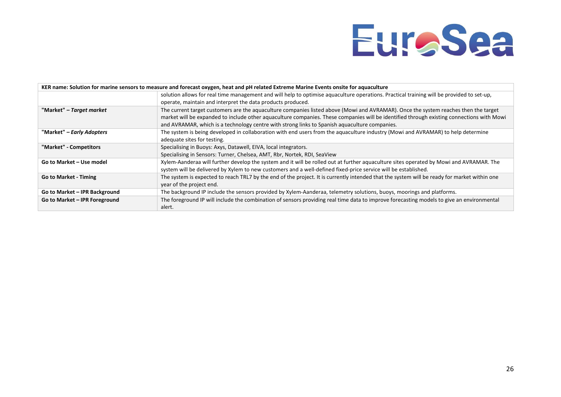

| KER name: Solution for marine sensors to measure and forecast oxygen, heat and pH related Extreme Marine Events onsite for aquaculture |                                                                                                                                                                                                                                                                                                                                                                                   |  |  |
|----------------------------------------------------------------------------------------------------------------------------------------|-----------------------------------------------------------------------------------------------------------------------------------------------------------------------------------------------------------------------------------------------------------------------------------------------------------------------------------------------------------------------------------|--|--|
|                                                                                                                                        | solution allows for real time management and will help to optimise aquaculture operations. Practical training will be provided to set-up,<br>operate, maintain and interpret the data products produced.                                                                                                                                                                          |  |  |
| "Market" – Target market                                                                                                               | The current target customers are the aquaculture companies listed above (Mowi and AVRAMAR). Once the system reaches then the target<br>market will be expanded to include other aquaculture companies. These companies will be identified through existing connections with Mowi<br>and AVRAMAR, which is a technology centre with strong links to Spanish aquaculture companies. |  |  |
| "Market" – Early Adopters                                                                                                              | The system is being developed in collaboration with end users from the aquaculture industry (Mowi and AVRAMAR) to help determine<br>adequate sites for testing.                                                                                                                                                                                                                   |  |  |
| "Market" - Competitors                                                                                                                 | Specialising in Buoys: Axys, Datawell, EIVA, local integrators.<br>Specialising in Sensors: Turner, Chelsea, AMT, Rbr, Nortek, RDI, SeaView                                                                                                                                                                                                                                       |  |  |
| Go to Market - Use model                                                                                                               | Xylem-Aanderaa will further develop the system and it will be rolled out at further aquaculture sites operated by Mowi and AVRAMAR. The<br>system will be delivered by Xylem to new customers and a well-defined fixed-price service will be established.                                                                                                                         |  |  |
| <b>Go to Market - Timing</b>                                                                                                           | The system is expected to reach TRL7 by the end of the project. It is currently intended that the system will be ready for market within one<br>year of the project end.                                                                                                                                                                                                          |  |  |
| Go to Market - IPR Background                                                                                                          | The background IP include the sensors provided by Xylem-Aanderaa, telemetry solutions, buoys, moorings and platforms.                                                                                                                                                                                                                                                             |  |  |
| Go to Market - IPR Foreground                                                                                                          | The foreground IP will include the combination of sensors providing real time data to improve forecasting models to give an environmental<br>alert.                                                                                                                                                                                                                               |  |  |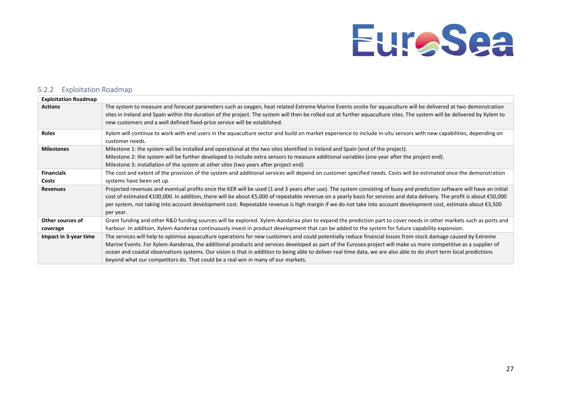### 5.2.2 Exploitation Roadmap

<span id="page-28-0"></span>

| <b>Exploitation Roadmap</b>  |                                                                                                                                                                                                                                                                                                                                                                                                                                                                                                                                                                                             |
|------------------------------|---------------------------------------------------------------------------------------------------------------------------------------------------------------------------------------------------------------------------------------------------------------------------------------------------------------------------------------------------------------------------------------------------------------------------------------------------------------------------------------------------------------------------------------------------------------------------------------------|
| <b>Actions</b>               | The system to measure and forecast parameters such as oxygen, heat related Extreme Marine Events onsite for aquaculture will be delivered at two demonstration<br>sites in Ireland and Spain within the duration of the project. The system will then be rolled out at further aquaculture sites. The system will be delivered by Xylem to<br>new customers and a well defined fixed-price service will be established.                                                                                                                                                                     |
| <b>Roles</b>                 | Xylem will continue to work with end users in the aquaculture sector and build on market experience to include in-situ sensors with new capabilities, depending on<br>customer needs.                                                                                                                                                                                                                                                                                                                                                                                                       |
| <b>Milestones</b>            | Milestone 1: the system will be installed and operational at the two sites identified in Ireland and Spain (end of the project).<br>Milestone 2: the system will be further developed to include extra sensors to measure additional variables (one year after the project end).<br>Milestone 3: installation of the system at other sites (two years after project end)                                                                                                                                                                                                                    |
| <b>Financials</b><br>Costs   | The cost and extent of the provision of the system and additional services will depend on customer specified needs. Costs will be estimated once the demonstration<br>systems have been set up.                                                                                                                                                                                                                                                                                                                                                                                             |
| <b>Revenues</b>              | Projected revenues and eventual profits once the KER will be used (1 and 3 years after use). The system consisting of buoy and prediction software will have an initial<br>cost of estimated €100,000. In addition, there will be about €5,000 of repeatable revenue on a yearly basis for services and data delivery. The profit is about €50,000<br>per system, not taking into account development cost. Repeatable revenue is high margin if we do not take into account development cost, estimate about €3,500<br>per year.                                                           |
| Other sources of<br>coverage | Grant funding and other R&D funding sources will be explored. Xylem-Aanderaa plan to expand the prediction part to cover needs in other markets such as ports and<br>harbour. In addition, Xylem-Aanderaa continuously invest in product development that can be added to the system for future capability expansion.                                                                                                                                                                                                                                                                       |
| Impact in 3-year time        | The services will help to optimise aquaculture operations for new customers and could potentially reduce financial losses from stock damage caused by Extreme<br>Marine Events. For Xylem-Aanderaa, the additional products and services developed as part of the Eurosea project will make us more competitive as a supplier of<br>ocean and coastal observations systems. Our vision is that in addition to being able to deliver real time data, we are also able to do short term local predictions<br>beyond what our competitors do. That could be a real win in many of our markets. |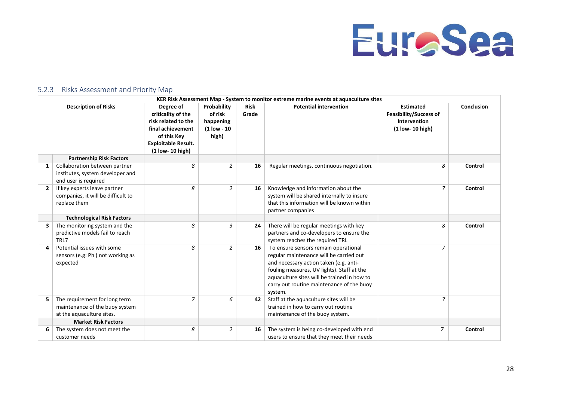

### 5.2.3 Risks Assessment and Priority Map

<span id="page-29-0"></span>

|              | KER Risk Assessment Map - System to monitor extreme marine events at aquaculture sites       |                                                                                                                                              |                                                               |               |                                                                                                                                                                                                                                                                                |                                                                                         |            |
|--------------|----------------------------------------------------------------------------------------------|----------------------------------------------------------------------------------------------------------------------------------------------|---------------------------------------------------------------|---------------|--------------------------------------------------------------------------------------------------------------------------------------------------------------------------------------------------------------------------------------------------------------------------------|-----------------------------------------------------------------------------------------|------------|
|              | <b>Description of Risks</b>                                                                  | Degree of<br>criticality of the<br>risk related to the<br>final achievement<br>of this Key<br><b>Exploitable Result.</b><br>(1 low- 10 high) | Probability<br>of risk<br>happening<br>$(1$ low - 10<br>high) | Risk<br>Grade | <b>Potential intervention</b>                                                                                                                                                                                                                                                  | <b>Estimated</b><br><b>Feasibility/Success of</b><br>Intervention<br>$(1$ low- 10 high) | Conclusion |
|              | <b>Partnership Risk Factors</b>                                                              |                                                                                                                                              |                                                               |               |                                                                                                                                                                                                                                                                                |                                                                                         |            |
| 1            | Collaboration between partner<br>institutes, system developer and<br>end user is required    | 8                                                                                                                                            | 2                                                             | 16            | Regular meetings, continuous negotiation.                                                                                                                                                                                                                                      | 8                                                                                       | Control    |
| $\mathbf{2}$ | If key experts leave partner<br>companies, it will be difficult to<br>replace them           | 8                                                                                                                                            | 2                                                             | 16            | Knowledge and information about the<br>system will be shared internally to insure<br>that this information will be known within<br>partner companies                                                                                                                           | 7                                                                                       | Control    |
|              | <b>Technological Risk Factors</b>                                                            |                                                                                                                                              |                                                               |               |                                                                                                                                                                                                                                                                                |                                                                                         |            |
| 3            | The monitoring system and the<br>predictive models fail to reach<br>TRL7                     | 8                                                                                                                                            | 3                                                             | 24            | There will be regular meetings with key<br>partners and co-developers to ensure the<br>system reaches the required TRL                                                                                                                                                         | 8                                                                                       | Control    |
|              | Potential issues with some<br>sensors (e.g: Ph) not working as<br>expected                   | 8                                                                                                                                            | 2                                                             | 16            | To ensure sensors remain operational<br>regular maintenance will be carried out<br>and necessary action taken (e.g. anti-<br>fouling measures, UV lights). Staff at the<br>aquaculture sites will be trained in how to<br>carry out routine maintenance of the buoy<br>system. | $\overline{z}$                                                                          |            |
| 5            | The requirement for long term<br>maintenance of the buoy system<br>at the aquaculture sites. | $\overline{7}$                                                                                                                               | 6                                                             | 42            | Staff at the aquaculture sites will be<br>trained in how to carry out routine<br>maintenance of the buoy system.                                                                                                                                                               | $\overline{z}$                                                                          |            |
|              | <b>Market Risk Factors</b>                                                                   |                                                                                                                                              |                                                               |               |                                                                                                                                                                                                                                                                                |                                                                                         |            |
|              | The system does not meet the<br>customer needs                                               | 8                                                                                                                                            | $\overline{2}$                                                | 16            | The system is being co-developed with end<br>users to ensure that they meet their needs                                                                                                                                                                                        | $\overline{z}$                                                                          | Control    |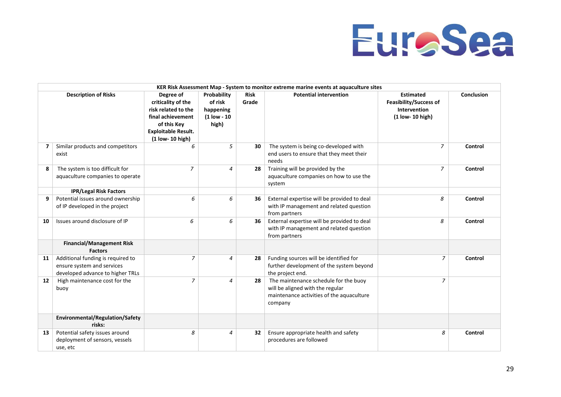

|    | KER Risk Assessment Map - System to monitor extreme marine events at aquaculture sites              |                                                                                                                                              |                                                               |                      |                                                                                                                                   |                                                                                       |                   |
|----|-----------------------------------------------------------------------------------------------------|----------------------------------------------------------------------------------------------------------------------------------------------|---------------------------------------------------------------|----------------------|-----------------------------------------------------------------------------------------------------------------------------------|---------------------------------------------------------------------------------------|-------------------|
|    | <b>Description of Risks</b>                                                                         | Degree of<br>criticality of the<br>risk related to the<br>final achievement<br>of this Key<br><b>Exploitable Result.</b><br>(1 low- 10 high) | Probability<br>of risk<br>happening<br>$(1$ low - 10<br>high) | <b>Risk</b><br>Grade | <b>Potential intervention</b>                                                                                                     | <b>Estimated</b><br><b>Feasibility/Success of</b><br>Intervention<br>(1 low- 10 high) | <b>Conclusion</b> |
| 7  | Similar products and competitors<br>exist                                                           | 6                                                                                                                                            | 5                                                             | 30                   | The system is being co-developed with<br>end users to ensure that they meet their<br>needs                                        | 7                                                                                     | Control           |
| 8  | The system is too difficult for<br>aquaculture companies to operate                                 | $\overline{7}$                                                                                                                               | $\overline{a}$                                                | 28                   | Training will be provided by the<br>aquaculture companies on how to use the<br>system                                             | $\overline{z}$                                                                        | Control           |
|    | <b>IPR/Legal Risk Factors</b>                                                                       |                                                                                                                                              |                                                               |                      |                                                                                                                                   |                                                                                       |                   |
| 9  | Potential issues around ownership<br>of IP developed in the project                                 | 6                                                                                                                                            | 6                                                             | 36                   | External expertise will be provided to deal<br>with IP management and related question<br>from partners                           | 8                                                                                     | Control           |
| 10 | Issues around disclosure of IP                                                                      | 6                                                                                                                                            | 6                                                             | 36                   | External expertise will be provided to deal<br>with IP management and related question<br>from partners                           | 8                                                                                     | Control           |
|    | <b>Financial/Management Risk</b><br><b>Factors</b>                                                  |                                                                                                                                              |                                                               |                      |                                                                                                                                   |                                                                                       |                   |
| 11 | Additional funding is required to<br>ensure system and services<br>developed advance to higher TRLs | $\overline{z}$                                                                                                                               | $\overline{a}$                                                | 28                   | Funding sources will be identified for<br>further development of the system beyond<br>the project end.                            | $\overline{7}$                                                                        | Control           |
| 12 | High maintenance cost for the<br>buoy                                                               | $\overline{7}$                                                                                                                               | 4                                                             | 28                   | The maintenance schedule for the buoy<br>will be aligned with the regular<br>maintenance activities of the aquaculture<br>company | $\overline{7}$                                                                        |                   |
|    | Environmental/Regulation/Safety<br>risks:                                                           |                                                                                                                                              |                                                               |                      |                                                                                                                                   |                                                                                       |                   |
| 13 | Potential safety issues around<br>deployment of sensors, vessels<br>use, etc                        | 8                                                                                                                                            | $\overline{4}$                                                | 32                   | Ensure appropriate health and safety<br>procedures are followed                                                                   | 8                                                                                     | Control           |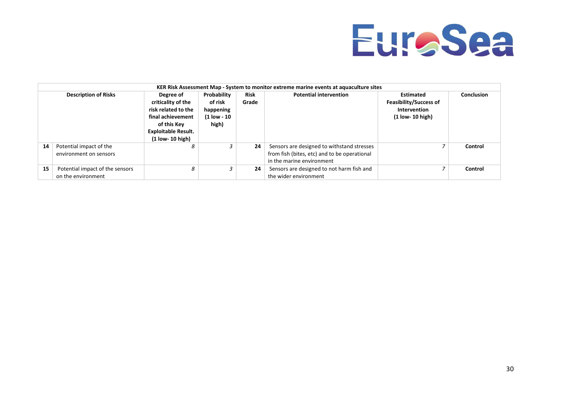

|    | KER Risk Assessment Map - System to monitor extreme marine events at aquaculture sites |                                                                                                                                              |                                                             |                      |                                                                                                                         |                                                                                  |            |
|----|----------------------------------------------------------------------------------------|----------------------------------------------------------------------------------------------------------------------------------------------|-------------------------------------------------------------|----------------------|-------------------------------------------------------------------------------------------------------------------------|----------------------------------------------------------------------------------|------------|
|    | <b>Description of Risks</b>                                                            | Degree of<br>criticality of the<br>risk related to the<br>final achievement<br>of this Kev<br><b>Exploitable Result.</b><br>(1 low- 10 high) | Probability<br>of risk<br>happening<br>(1 low - 10<br>high) | <b>Risk</b><br>Grade | <b>Potential intervention</b>                                                                                           | Estimated<br><b>Feasibility/Success of</b><br>Intervention<br>$(1$ low- 10 high) | Conclusion |
| 14 | Potential impact of the<br>environment on sensors                                      | 8                                                                                                                                            |                                                             | 24                   | Sensors are designed to withstand stresses<br>from fish (bites, etc) and to be operational<br>in the marine environment |                                                                                  | Control    |
| 15 | Potential impact of the sensors<br>on the environment                                  | 8                                                                                                                                            |                                                             | 24                   | Sensors are designed to not harm fish and<br>the wider environment                                                      |                                                                                  | Control    |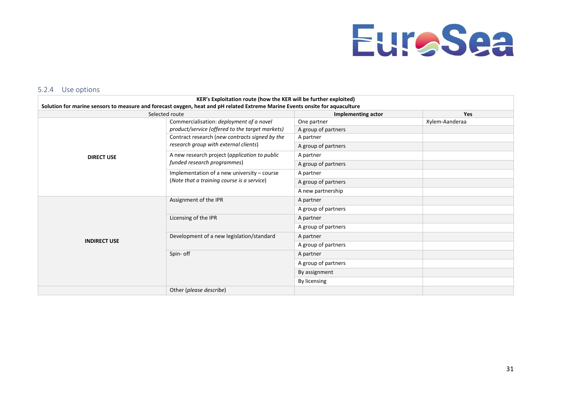

#### 5.2.4 Use options

<span id="page-32-0"></span>

|                     | KER's Exploitation route (how the KER will be further exploited)                                                                               |                           |                |
|---------------------|------------------------------------------------------------------------------------------------------------------------------------------------|---------------------------|----------------|
|                     | Solution for marine sensors to measure and forecast oxygen, heat and pH related Extreme Marine Events onsite for aquaculture<br>Selected route | <b>Implementing actor</b> | <b>Yes</b>     |
|                     | Commercialisation: deployment of a novel                                                                                                       | One partner               | Xylem-Aanderaa |
|                     | product/service (offered to the target markets)                                                                                                | A group of partners       |                |
|                     | Contract research (new contracts signed by the                                                                                                 | A partner                 |                |
|                     | research group with external clients)                                                                                                          | A group of partners       |                |
| <b>DIRECT USE</b>   | A new research project (application to public                                                                                                  | A partner                 |                |
|                     | funded research programmes)                                                                                                                    | A group of partners       |                |
|                     | Implementation of a new university - course                                                                                                    | A partner                 |                |
|                     | (Note that a training course is a service)                                                                                                     | A group of partners       |                |
|                     |                                                                                                                                                | A new partnership         |                |
|                     | Assignment of the IPR                                                                                                                          | A partner                 |                |
|                     |                                                                                                                                                | A group of partners       |                |
|                     | Licensing of the IPR                                                                                                                           | A partner                 |                |
|                     |                                                                                                                                                | A group of partners       |                |
|                     | Development of a new legislation/standard                                                                                                      | A partner                 |                |
| <b>INDIRECT USE</b> |                                                                                                                                                | A group of partners       |                |
|                     | Spin- off                                                                                                                                      | A partner                 |                |
|                     |                                                                                                                                                | A group of partners       |                |
|                     |                                                                                                                                                | By assignment             |                |
|                     |                                                                                                                                                | By licensing              |                |
|                     | Other (please describe)                                                                                                                        |                           |                |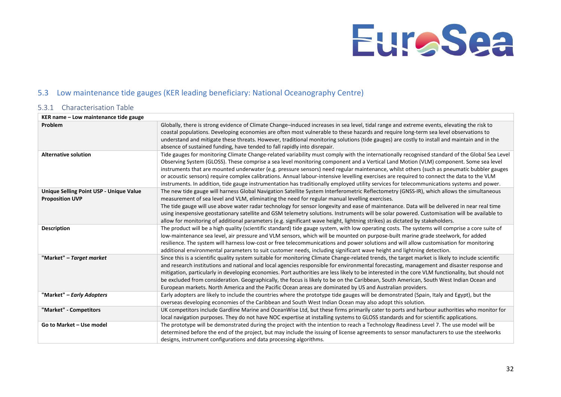## 5.3 Low maintenance tide gauges (KER leading beneficiary: National Oceanography Centre)

### 5.3.1 Characterisation Table

<span id="page-33-1"></span><span id="page-33-0"></span>

| KER name – Low maintenance tide gauge                             |                                                                                                                                                                                                                                                                                                                                                                                                                                                                                                                                                                                                                                                                                                                                 |
|-------------------------------------------------------------------|---------------------------------------------------------------------------------------------------------------------------------------------------------------------------------------------------------------------------------------------------------------------------------------------------------------------------------------------------------------------------------------------------------------------------------------------------------------------------------------------------------------------------------------------------------------------------------------------------------------------------------------------------------------------------------------------------------------------------------|
| <b>Problem</b>                                                    | Globally, there is strong evidence of Climate Change-induced increases in sea level, tidal range and extreme events, elevating the risk to<br>coastal populations. Developing economies are often most vulnerable to these hazards and require long-term sea level observations to<br>understand and mitigate these threats. However, traditional monitoring solutions (tide gauges) are costly to install and maintain and in the<br>absence of sustained funding, have tended to fall rapidly into disrepair.                                                                                                                                                                                                                 |
| <b>Alternative solution</b>                                       | Tide gauges for monitoring Climate Change-related variability must comply with the internationally recognised standard of the Global Sea Level<br>Observing System (GLOSS). These comprise a sea level monitoring component and a Vertical Land Motion (VLM) component. Some sea level<br>instruments that are mounted underwater (e.g. pressure sensors) need regular maintenance, whilst others (such as pneumatic bubbler gauges<br>or acoustic sensors) require complex calibrations. Annual labour-intensive levelling exercises are required to connect the data to the VLM<br>instruments. In addition, tide gauge instrumentation has traditionally employed utility services for telecommunications systems and power. |
| Unique Selling Point USP - Unique Value<br><b>Proposition UVP</b> | The new tide gauge will harness Global Navigation Satellite System Interferometric Reflectometry (GNSS-IR), which allows the simultaneous<br>measurement of sea level and VLM, eliminating the need for regular manual levelling exercises.<br>The tide gauge will use above water radar technology for sensor longevity and ease of maintenance. Data will be delivered in near real time<br>using inexpensive geostationary satellite and GSM telemetry solutions. Instruments will be solar powered. Customisation will be available to<br>allow for monitoring of additional parameters (e.g. significant wave height, lightning strikes) as dictated by stakeholders.                                                      |
| <b>Description</b>                                                | The product will be a high quality (scientific standard) tide gauge system, with low operating costs. The systems will comprise a core suite of<br>low-maintenance sea level, air pressure and VLM sensors, which will be mounted on purpose-built marine grade steelwork, for added<br>resilience. The system will harness low-cost or free telecommunications and power solutions and will allow customisation for monitoring<br>additional environmental parameters to suit customer needs, including significant wave height and lightning detection.                                                                                                                                                                       |
| "Market" – Target market                                          | Since this is a scientific quality system suitable for monitoring Climate Change-related trends, the target market is likely to include scientific<br>and research institutions and national and local agencies responsible for environmental forecasting, management and disaster response and<br>mitigation, particularly in developing economies. Port authorities are less likely to be interested in the core VLM functionality, but should not<br>be excluded from consideration. Geographically, the focus is likely to be on the Caribbean, South American, South West Indian Ocean and<br>European markets. North America and the Pacific Ocean areas are dominated by US and Australian providers.                    |
| "Market" - Early Adopters                                         | Early adopters are likely to include the countries where the prototype tide gauges will be demonstrated (Spain, Italy and Egypt), but the<br>overseas developing economies of the Caribbean and South West Indian Ocean may also adopt this solution.                                                                                                                                                                                                                                                                                                                                                                                                                                                                           |
| "Market" - Competitors                                            | UK competitors include Gardline Marine and OceanWise Ltd, but these firms primarily cater to ports and harbour authorities who monitor for<br>local navigation purposes. They do not have NOC expertise at installing systems to GLOSS standards and for scientific applications.                                                                                                                                                                                                                                                                                                                                                                                                                                               |
| Go to Market - Use model                                          | The prototype will be demonstrated during the project with the intention to reach a Technology Readiness Level 7. The use model will be<br>determined before the end of the project, but may include the issuing of license agreements to sensor manufacturers to use the steelworks<br>designs, instrument configurations and data processing algorithms.                                                                                                                                                                                                                                                                                                                                                                      |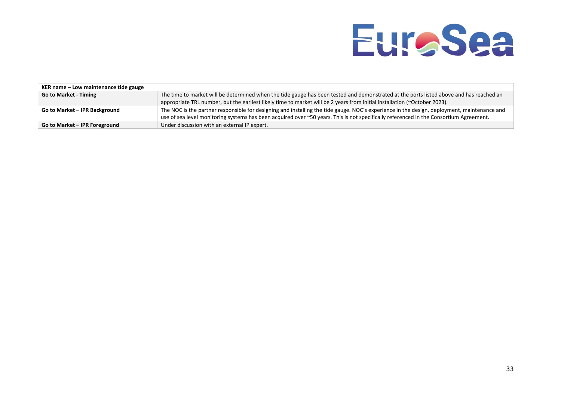| KER name – Low maintenance tide gauge |                                                                                                                                             |
|---------------------------------------|---------------------------------------------------------------------------------------------------------------------------------------------|
| <b>Go to Market - Timing</b>          | The time to market will be determined when the tide gauge has been tested and demonstrated at the ports listed above and has reached an     |
|                                       | appropriate TRL number, but the earliest likely time to market will be 2 years from initial installation (~October 2023).                   |
| Go to Market - IPR Background         | The NOC is the partner responsible for designing and installing the tide gauge. NOC's experience in the design, deployment, maintenance and |
|                                       | use of sea level monitoring systems has been acquired over ~50 years. This is not specifically referenced in the Consortium Agreement.      |
| Go to Market - IPR Foreground         | Under discussion with an external IP expert.                                                                                                |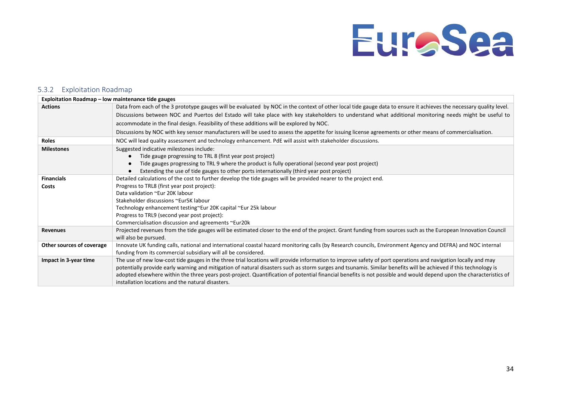#### 5.3.2 Exploitation Roadmap

<span id="page-35-0"></span>

| Exploitation Roadmap - low maintenance tide gauges |                                                                                                                                                                                         |
|----------------------------------------------------|-----------------------------------------------------------------------------------------------------------------------------------------------------------------------------------------|
| <b>Actions</b>                                     | Data from each of the 3 prototype gauges will be evaluated by NOC in the context of other local tide gauge data to ensure it achieves the necessary quality level.                      |
|                                                    | Discussions between NOC and Puertos del Estado will take place with key stakeholders to understand what additional monitoring needs might be useful to                                  |
|                                                    | accommodate in the final design. Feasibility of these additions will be explored by NOC.                                                                                                |
|                                                    | Discussions by NOC with key sensor manufacturers will be used to assess the appetite for issuing license agreements or other means of commercialisation.                                |
| <b>Roles</b>                                       | NOC will lead quality assessment and technology enhancement. PdE will assist with stakeholder discussions.                                                                              |
| <b>Milestones</b>                                  | Suggested indicative milestones include:                                                                                                                                                |
|                                                    | Tide gauge progressing to TRL 8 (first year post project)<br>$\bullet$                                                                                                                  |
|                                                    | Tide gauges progressing to TRL 9 where the product is fully operational (second year post project)                                                                                      |
|                                                    | Extending the use of tide gauges to other ports internationally (third year post project)                                                                                               |
| <b>Financials</b>                                  | Detailed calculations of the cost to further develop the tide gauges will be provided nearer to the project end.                                                                        |
| Costs                                              | Progress to TRL8 (first year post project):                                                                                                                                             |
|                                                    | Data validation ~Eur 20K labour                                                                                                                                                         |
|                                                    | Stakeholder discussions ~Eur5K labour                                                                                                                                                   |
|                                                    | Technology enhancement testing~Eur 20K capital ~Eur 25k labour                                                                                                                          |
|                                                    | Progress to TRL9 (second year post project):                                                                                                                                            |
|                                                    | Commercialisation discussion and agreements ~Eur20k                                                                                                                                     |
| <b>Revenues</b>                                    | Projected revenues from the tide gauges will be estimated closer to the end of the project. Grant funding from sources such as the European Innovation Council<br>will also be pursued. |
| Other sources of coverage                          | Innovate UK funding calls, national and international coastal hazard monitoring calls (by Research councils, Environment Agency and DEFRA) and NOC internal                             |
|                                                    | funding from its commercial subsidiary will all be considered.                                                                                                                          |
| Impact in 3-year time                              | The use of new low-cost tide gauges in the three trial locations will provide information to improve safety of port operations and navigation locally and may                           |
|                                                    | potentially provide early warning and mitigation of natural disasters such as storm surges and tsunamis. Similar benefits will be achieved if this technology is                        |
|                                                    | adopted elsewhere within the three years post-project. Quantification of potential financial benefits is not possible and would depend upon the characteristics of                      |
|                                                    | installation locations and the natural disasters.                                                                                                                                       |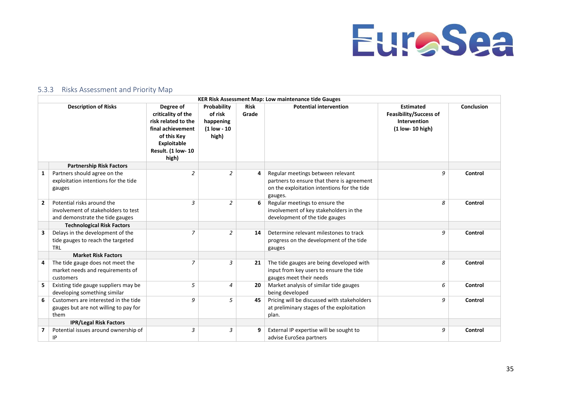

### 5.3.3 Risks Assessment and Priority Map

<span id="page-36-0"></span>

|                | <b>KER Risk Assessment Map: Low maintenance tide Gauges</b>                                          |                                                                                                                                                |                                                             |                      |                                                                                                                                           |                                                                                       |            |
|----------------|------------------------------------------------------------------------------------------------------|------------------------------------------------------------------------------------------------------------------------------------------------|-------------------------------------------------------------|----------------------|-------------------------------------------------------------------------------------------------------------------------------------------|---------------------------------------------------------------------------------------|------------|
|                | <b>Description of Risks</b>                                                                          | Degree of<br>criticality of the<br>risk related to the<br>final achievement<br>of this Key<br>Exploitable<br><b>Result. (1 low-10</b><br>high) | Probability<br>of risk<br>happening<br>(1 low - 10<br>high) | <b>Risk</b><br>Grade | <b>Potential intervention</b>                                                                                                             | <b>Estimated</b><br><b>Feasibility/Success of</b><br>Intervention<br>(1 low- 10 high) | Conclusion |
|                | <b>Partnership Risk Factors</b>                                                                      |                                                                                                                                                |                                                             |                      |                                                                                                                                           |                                                                                       |            |
| $\mathbf{1}$   | Partners should agree on the<br>exploitation intentions for the tide<br>gauges                       | $\overline{a}$                                                                                                                                 | 2                                                           | 4                    | Regular meetings between relevant<br>partners to ensure that there is agreement<br>on the exploitation intentions for the tide<br>gauges. | 9                                                                                     | Control    |
| $\overline{2}$ | Potential risks around the<br>involvement of stakeholders to test<br>and demonstrate the tide gauges | 3                                                                                                                                              | 2                                                           | 6                    | Regular meetings to ensure the<br>involvement of key stakeholders in the<br>development of the tide gauges                                | 8                                                                                     | Control    |
|                | <b>Technological Risk Factors</b>                                                                    |                                                                                                                                                |                                                             |                      |                                                                                                                                           |                                                                                       |            |
| 3              | Delays in the development of the<br>tide gauges to reach the targeted<br><b>TRL</b>                  | $\overline{7}$                                                                                                                                 | $\overline{2}$                                              | 14                   | Determine relevant milestones to track<br>progress on the development of the tide<br>gauges                                               | 9                                                                                     | Control    |
|                | <b>Market Risk Factors</b>                                                                           |                                                                                                                                                |                                                             |                      |                                                                                                                                           |                                                                                       |            |
| 4              | The tide gauge does not meet the<br>market needs and requirements of<br>customers                    | 7                                                                                                                                              | 3                                                           | 21                   | The tide gauges are being developed with<br>input from key users to ensure the tide<br>gauges meet their needs                            | 8                                                                                     | Control    |
| 5              | Existing tide gauge suppliers may be<br>developing something similar                                 | 5                                                                                                                                              | $\overline{4}$                                              | 20                   | Market analysis of similar tide gauges<br>being developed                                                                                 | 6                                                                                     | Control    |
| 6              | Customers are interested in the tide<br>gauges but are not willing to pay for<br>them                | 9                                                                                                                                              | 5                                                           | 45                   | Pricing will be discussed with stakeholders<br>at preliminary stages of the exploitation<br>plan.                                         | 9                                                                                     | Control    |
|                | <b>IPR/Legal Risk Factors</b>                                                                        |                                                                                                                                                |                                                             |                      |                                                                                                                                           |                                                                                       |            |
| 7              | Potential issues around ownership of<br>IP                                                           | 3                                                                                                                                              | 3                                                           | 9                    | External IP expertise will be sought to<br>advise EuroSea partners                                                                        | 9                                                                                     | Control    |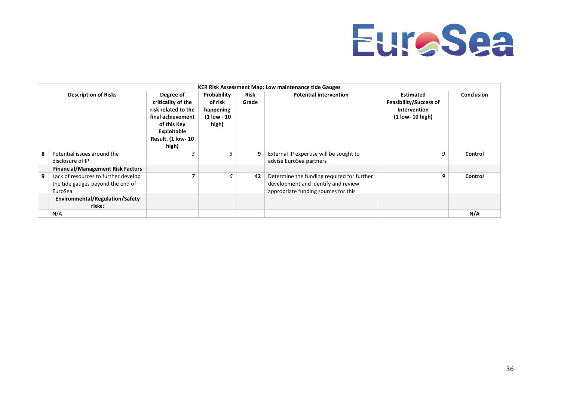

|   |                                                                                      |                                                                                                                                          |                                                             |                      | <b>KER Risk Assessment Map: Low maintenance tide Gauges</b>                                                               |                                                                                         |                   |
|---|--------------------------------------------------------------------------------------|------------------------------------------------------------------------------------------------------------------------------------------|-------------------------------------------------------------|----------------------|---------------------------------------------------------------------------------------------------------------------------|-----------------------------------------------------------------------------------------|-------------------|
|   | <b>Description of Risks</b>                                                          | Degree of<br>criticality of the<br>risk related to the<br>final achievement<br>of this Key<br>Exploitable<br>Result. (1 low- 10<br>high) | Probability<br>of risk<br>happening<br>(1 low - 10<br>high) | <b>Risk</b><br>Grade | <b>Potential intervention</b>                                                                                             | <b>Estimated</b><br><b>Feasibility/Success of</b><br>Intervention<br>$(1$ low- 10 high) | <b>Conclusion</b> |
| 8 | Potential issues around the<br>disclosure of IP                                      | 3                                                                                                                                        | $\overline{\mathbf{3}}$                                     | 9                    | External IP expertise will be sought to<br>advise EuroSea partners                                                        | 9                                                                                       | Control           |
|   | <b>Financial/Management Risk Factors</b>                                             |                                                                                                                                          |                                                             |                      |                                                                                                                           |                                                                                         |                   |
| 9 | Lack of resources to further develop<br>the tide gauges beyond the end of<br>EuroSea |                                                                                                                                          | 6                                                           | 42                   | Determine the funding required for further<br>development and identify and review<br>appropriate funding sources for this | 9                                                                                       | Control           |
|   | Environmental/Regulation/Safety<br>risks:                                            |                                                                                                                                          |                                                             |                      |                                                                                                                           |                                                                                         |                   |
|   | N/A                                                                                  |                                                                                                                                          |                                                             |                      |                                                                                                                           |                                                                                         | N/A               |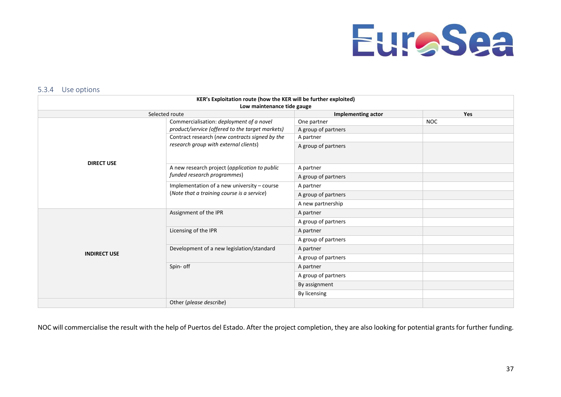

#### 5.3.4 Use options

| KER's Exploitation route (how the KER will be further exploited)<br>Low maintenance tide gauge |                                                 |                           |            |  |  |
|------------------------------------------------------------------------------------------------|-------------------------------------------------|---------------------------|------------|--|--|
|                                                                                                | Selected route                                  | <b>Implementing actor</b> | Yes        |  |  |
|                                                                                                | Commercialisation: deployment of a novel        | One partner               | <b>NOC</b> |  |  |
|                                                                                                | product/service (offered to the target markets) | A group of partners       |            |  |  |
|                                                                                                | Contract research (new contracts signed by the  | A partner                 |            |  |  |
| <b>DIRECT USE</b>                                                                              | research group with external clients)           | A group of partners       |            |  |  |
|                                                                                                | A new research project (application to public   | A partner                 |            |  |  |
|                                                                                                | funded research programmes)                     | A group of partners       |            |  |  |
|                                                                                                | Implementation of a new university - course     | A partner                 |            |  |  |
|                                                                                                | (Note that a training course is a service)      | A group of partners       |            |  |  |
|                                                                                                |                                                 | A new partnership         |            |  |  |
|                                                                                                | Assignment of the IPR                           | A partner                 |            |  |  |
|                                                                                                |                                                 | A group of partners       |            |  |  |
|                                                                                                | Licensing of the IPR                            | A partner                 |            |  |  |
|                                                                                                |                                                 | A group of partners       |            |  |  |
| <b>INDIRECT USE</b>                                                                            | Development of a new legislation/standard       | A partner                 |            |  |  |
|                                                                                                |                                                 | A group of partners       |            |  |  |
|                                                                                                | Spin- off                                       | A partner                 |            |  |  |
|                                                                                                |                                                 | A group of partners       |            |  |  |
|                                                                                                |                                                 | By assignment             |            |  |  |
|                                                                                                |                                                 | By licensing              |            |  |  |
|                                                                                                | Other (please describe)                         |                           |            |  |  |

<span id="page-38-0"></span>NOC will commercialise the result with the help of Puertos del Estado. After the project completion, they are also looking for potential grants for further funding.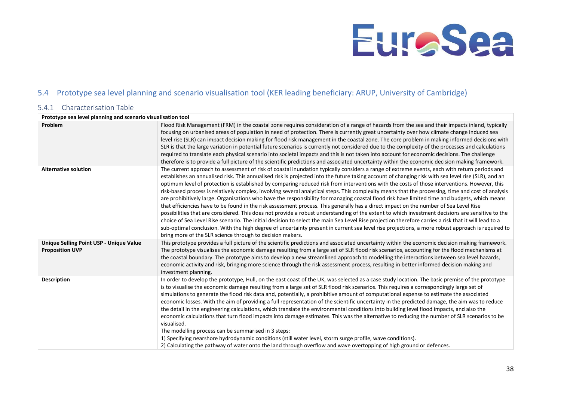## 5.4 Prototype sea level planning and scenario visualisation tool (KER leading beneficiary: ARUP, University of Cambridge)

### 5.4.1 Characterisation Table

<span id="page-39-1"></span><span id="page-39-0"></span>

| Prototype sea level planning and scenario visualisation tool      |                                                                                                                                                                                                                                                                                                                                                                                                                                                                                                                                                                                                                                                                                                                                                                                                                                                                                                                                                                                                                                                                                                                                                                                                                                                                                                                                                                                                                                  |
|-------------------------------------------------------------------|----------------------------------------------------------------------------------------------------------------------------------------------------------------------------------------------------------------------------------------------------------------------------------------------------------------------------------------------------------------------------------------------------------------------------------------------------------------------------------------------------------------------------------------------------------------------------------------------------------------------------------------------------------------------------------------------------------------------------------------------------------------------------------------------------------------------------------------------------------------------------------------------------------------------------------------------------------------------------------------------------------------------------------------------------------------------------------------------------------------------------------------------------------------------------------------------------------------------------------------------------------------------------------------------------------------------------------------------------------------------------------------------------------------------------------|
| Problem                                                           | Flood Risk Management (FRM) in the coastal zone requires consideration of a range of hazards from the sea and their impacts inland, typically<br>focusing on urbanised areas of population in need of protection. There is currently great uncertainty over how climate change induced sea<br>level rise (SLR) can impact decision making for flood risk management in the coastal zone. The core problem in making informed decisions with<br>SLR is that the large variation in potential future scenarios is currently not considered due to the complexity of the processes and calculations<br>required to translate each physical scenario into societal impacts and this is not taken into account for economic decisions. The challenge<br>therefore is to provide a full picture of the scientific predictions and associated uncertainty within the economic decision making framework.                                                                                                                                                                                                                                                                                                                                                                                                                                                                                                                                |
| <b>Alternative solution</b>                                       | The current approach to assessment of risk of coastal inundation typically considers a range of extreme events, each with return periods and<br>establishes an annualised risk. This annualised risk is projected into the future taking account of changing risk with sea level rise (SLR), and an<br>optimum level of protection is established by comparing reduced risk from interventions with the costs of those interventions. However, this<br>risk-based process is relatively complex, involving several analytical steps. This complexity means that the processing, time and cost of analysis<br>are prohibitively large. Organisations who have the responsibility for managing coastal flood risk have limited time and budgets, which means<br>that efficiencies have to be found in the risk assessment process. This generally has a direct impact on the number of Sea Level Rise<br>possibilities that are considered. This does not provide a robust understanding of the extent to which investment decisions are sensitive to the<br>choice of Sea Level Rise scenario. The initial decision to select the main Sea Level Rise projection therefore carries a risk that it will lead to a<br>sub-optimal conclusion. With the high degree of uncertainty present in current sea level rise projections, a more robust approach is required to<br>bring more of the SLR science through to decision makers. |
| Unique Selling Point USP - Unique Value<br><b>Proposition UVP</b> | This prototype provides a full picture of the scientific predictions and associated uncertainty within the economic decision making framework.<br>The prototype visualises the economic damage resulting from a large set of SLR flood risk scenarios, accounting for the flood mechanisms at<br>the coastal boundary. The prototype aims to develop a new streamlined approach to modelling the interactions between sea level hazards,<br>economic activity and risk, bringing more science through the risk assessment process, resulting in better informed decision making and<br>investment planning.                                                                                                                                                                                                                                                                                                                                                                                                                                                                                                                                                                                                                                                                                                                                                                                                                      |
| <b>Description</b>                                                | In order to develop the prototype, Hull, on the east coast of the UK, was selected as a case study location. The basic premise of the prototype<br>is to visualise the economic damage resulting from a large set of SLR flood risk scenarios. This requires a correspondingly large set of<br>simulations to generate the flood risk data and, potentially, a prohibitive amount of computational expense to estimate the associated<br>economic losses. With the aim of providing a full representation of the scientific uncertainty in the predicted damage, the aim was to reduce<br>the detail in the engineering calculations, which translate the environmental conditions into building level flood impacts, and also the<br>economic calculations that turn flood impacts into damage estimates. This was the alternative to reducing the number of SLR scenarios to be<br>visualised.<br>The modelling process can be summarised in 3 steps:<br>1) Specifying nearshore hydrodynamic conditions (still water level, storm surge profile, wave conditions).<br>2) Calculating the pathway of water onto the land through overflow and wave overtopping of high ground or defences.                                                                                                                                                                                                                                     |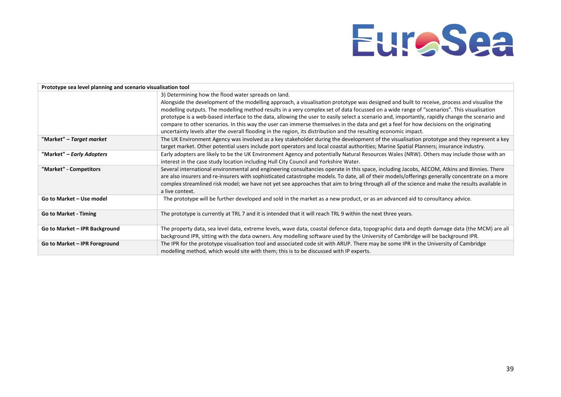| Prototype sea level planning and scenario visualisation tool |                                                                                                                                                 |  |  |  |  |  |
|--------------------------------------------------------------|-------------------------------------------------------------------------------------------------------------------------------------------------|--|--|--|--|--|
|                                                              | 3) Determining how the flood water spreads on land.                                                                                             |  |  |  |  |  |
|                                                              | Alongside the development of the modelling approach, a visualisation prototype was designed and built to receive, process and visualise the     |  |  |  |  |  |
|                                                              | modelling outputs. The modelling method results in a very complex set of data focussed on a wide range of "scenarios". This visualisation       |  |  |  |  |  |
|                                                              | prototype is a web-based interface to the data, allowing the user to easily select a scenario and, importantly, rapidly change the scenario and |  |  |  |  |  |
|                                                              | compare to other scenarios. In this way the user can immerse themselves in the data and get a feel for how decisions on the originating         |  |  |  |  |  |
|                                                              | uncertainty levels alter the overall flooding in the region, its distribution and the resulting economic impact.                                |  |  |  |  |  |
| "Market" – Target market                                     | The UK Environment Agency was involved as a key stakeholder during the development of the visualisation prototype and they represent a key      |  |  |  |  |  |
|                                                              | target market. Other potential users include port operators and local coastal authorities; Marine Spatial Planners; insurance industry.         |  |  |  |  |  |
| "Market" – Early Adopters                                    | Early adopters are likely to be the UK Environment Agency and potentially Natural Resources Wales (NRW). Others may include those with an       |  |  |  |  |  |
|                                                              | interest in the case study location including Hull City Council and Yorkshire Water.                                                            |  |  |  |  |  |
| "Market" - Competitors                                       | Several international environmental and engineering consultancies operate in this space, including Jacobs, AECOM, Atkins and Binnies. There     |  |  |  |  |  |
|                                                              | are also insurers and re-insurers with sophisticated catastrophe models. To date, all of their models/offerings generally concentrate on a more |  |  |  |  |  |
|                                                              | complex streamlined risk model; we have not yet see approaches that aim to bring through all of the science and make the results available in   |  |  |  |  |  |
|                                                              | a live context.                                                                                                                                 |  |  |  |  |  |
| Go to Market - Use model                                     | The prototype will be further developed and sold in the market as a new product, or as an advanced aid to consultancy advice.                   |  |  |  |  |  |
|                                                              |                                                                                                                                                 |  |  |  |  |  |
| <b>Go to Market - Timing</b>                                 | The prototype is currently at TRL 7 and it is intended that it will reach TRL 9 within the next three years.                                    |  |  |  |  |  |
|                                                              |                                                                                                                                                 |  |  |  |  |  |
| Go to Market - IPR Background                                | The property data, sea level data, extreme levels, wave data, coastal defence data, topographic data and depth damage data (the MCM) are all    |  |  |  |  |  |
|                                                              | background IPR, sitting with the data owners. Any modelling software used by the University of Cambridge will be background IPR.                |  |  |  |  |  |
| Go to Market - IPR Foreground                                | The IPR for the prototype visualisation tool and associated code sit with ARUP. There may be some IPR in the University of Cambridge            |  |  |  |  |  |
|                                                              | modelling method, which would site with them; this is to be discussed with IP experts.                                                          |  |  |  |  |  |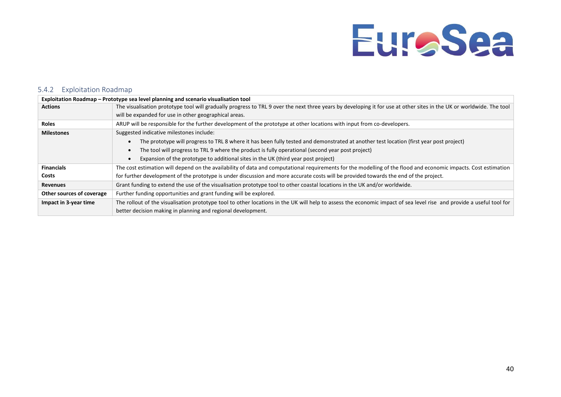### 5.4.2 Exploitation Roadmap

<span id="page-41-0"></span>

| Exploitation Roadmap – Prototype sea level planning and scenario visualisation tool |                                                                                                                                                                      |  |  |  |  |  |  |
|-------------------------------------------------------------------------------------|----------------------------------------------------------------------------------------------------------------------------------------------------------------------|--|--|--|--|--|--|
| <b>Actions</b>                                                                      | The visualisation prototype tool will gradually progress to TRL 9 over the next three years by developing it for use at other sites in the UK or worldwide. The tool |  |  |  |  |  |  |
|                                                                                     | will be expanded for use in other geographical areas.                                                                                                                |  |  |  |  |  |  |
| <b>Roles</b>                                                                        | ARUP will be responsible for the further development of the prototype at other locations with input from co-developers.                                              |  |  |  |  |  |  |
| <b>Milestones</b>                                                                   | Suggested indicative milestones include:                                                                                                                             |  |  |  |  |  |  |
|                                                                                     | The prototype will progress to TRL 8 where it has been fully tested and demonstrated at another test location (first year post project)                              |  |  |  |  |  |  |
|                                                                                     | The tool will progress to TRL 9 where the product is fully operational (second year post project)                                                                    |  |  |  |  |  |  |
|                                                                                     | Expansion of the prototype to additional sites in the UK (third year post project)                                                                                   |  |  |  |  |  |  |
| <b>Financials</b>                                                                   | The cost estimation will depend on the availability of data and computational requirements for the modelling of the flood and economic impacts. Cost estimation      |  |  |  |  |  |  |
| Costs                                                                               | for further development of the prototype is under discussion and more accurate costs will be provided towards the end of the project.                                |  |  |  |  |  |  |
| <b>Revenues</b>                                                                     | Grant funding to extend the use of the visualisation prototype tool to other coastal locations in the UK and/or worldwide.                                           |  |  |  |  |  |  |
| Other sources of coverage                                                           | Further funding opportunities and grant funding will be explored.                                                                                                    |  |  |  |  |  |  |
| Impact in 3-year time                                                               | The rollout of the visualisation prototype tool to other locations in the UK will help to assess the economic impact of sea level rise and provide a useful tool for |  |  |  |  |  |  |
|                                                                                     | better decision making in planning and regional development.                                                                                                         |  |  |  |  |  |  |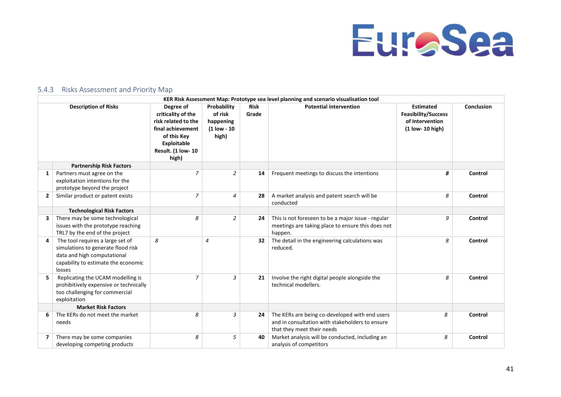

### 5.4.3 Risks Assessment and Priority Map

<span id="page-42-0"></span>

| KER Risk Assessment Map: Prototype sea level planning and scenario visualisation tool |                                                                                                                                                        |                                                                                                                                                 |                                                             |                      |                                                                                                                                 |                                                                                       |            |
|---------------------------------------------------------------------------------------|--------------------------------------------------------------------------------------------------------------------------------------------------------|-------------------------------------------------------------------------------------------------------------------------------------------------|-------------------------------------------------------------|----------------------|---------------------------------------------------------------------------------------------------------------------------------|---------------------------------------------------------------------------------------|------------|
| <b>Description of Risks</b>                                                           |                                                                                                                                                        | Degree of<br>criticality of the<br>risk related to the<br>final achievement<br>of this Key<br><b>Exploitable</b><br>Result. (1 low- 10<br>high) | Probability<br>of risk<br>happening<br>(1 low - 10<br>high) | <b>Risk</b><br>Grade | <b>Potential intervention</b>                                                                                                   | <b>Estimated</b><br><b>Feasibility/Success</b><br>of Intervention<br>(1 low- 10 high) | Conclusion |
|                                                                                       | <b>Partnership Risk Factors</b>                                                                                                                        |                                                                                                                                                 |                                                             |                      |                                                                                                                                 |                                                                                       |            |
| 1                                                                                     | Partners must agree on the<br>exploitation intentions for the<br>prototype beyond the project                                                          | 7                                                                                                                                               | $\overline{a}$                                              | 14                   | Frequent meetings to discuss the intentions                                                                                     | 8                                                                                     | Control    |
| $\overline{2}$                                                                        | Similar product or patent exists                                                                                                                       | 7                                                                                                                                               | $\overline{4}$                                              | 28                   | A market analysis and patent search will be<br>conducted                                                                        | 8                                                                                     | Control    |
|                                                                                       | <b>Technological Risk Factors</b>                                                                                                                      |                                                                                                                                                 |                                                             |                      |                                                                                                                                 |                                                                                       |            |
|                                                                                       | There may be some technological<br>issues with the prototype reaching<br>TRL7 by the end of the project                                                | 8                                                                                                                                               | 2                                                           | 24                   | This is not foreseen to be a major issue - regular<br>meetings are taking place to ensure this does not<br>happen.              | 9                                                                                     | Control    |
| 4                                                                                     | The tool requires a large set of<br>simulations to generate flood risk<br>data and high computational<br>capability to estimate the economic<br>losses | 8                                                                                                                                               | $\overline{4}$                                              | 32                   | The detail in the engineering calculations was<br>reduced.                                                                      | 8                                                                                     | Control    |
|                                                                                       | Replicating the UCAM modelling is<br>prohibitively expensive or technically<br>too challenging for commercial<br>exploitation                          | 7                                                                                                                                               | 3                                                           | 21                   | Involve the right digital people alongside the<br>technical modellers.                                                          | 8                                                                                     | Control    |
|                                                                                       | <b>Market Risk Factors</b>                                                                                                                             |                                                                                                                                                 |                                                             |                      |                                                                                                                                 |                                                                                       |            |
|                                                                                       | The KERs do not meet the market<br>needs                                                                                                               | 8                                                                                                                                               | 3                                                           | 24                   | The KERs are being co-developed with end users<br>and in consultation with stakeholders to ensure<br>that they meet their needs | 8                                                                                     | Control    |
| 7                                                                                     | There may be some companies<br>developing competing products                                                                                           | 8                                                                                                                                               | 5                                                           | 40                   | Market analysis will be conducted, including an<br>analysis of competitors                                                      | 8                                                                                     | Control    |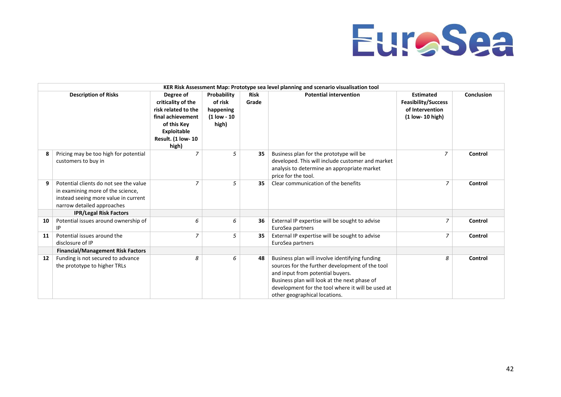

| KER Risk Assessment Map: Prototype sea level planning and scenario visualisation tool |                                                                                                                                                   |                                                                                                                                                |                                                               |                      |                                                                                                                                                                                                                                                                             |                                                                                       |            |
|---------------------------------------------------------------------------------------|---------------------------------------------------------------------------------------------------------------------------------------------------|------------------------------------------------------------------------------------------------------------------------------------------------|---------------------------------------------------------------|----------------------|-----------------------------------------------------------------------------------------------------------------------------------------------------------------------------------------------------------------------------------------------------------------------------|---------------------------------------------------------------------------------------|------------|
|                                                                                       | <b>Description of Risks</b>                                                                                                                       | Degree of<br>criticality of the<br>risk related to the<br>final achievement<br>of this Key<br>Exploitable<br><b>Result. (1 low-10</b><br>high) | Probability<br>of risk<br>happening<br>$(1$ low - 10<br>high) | <b>Risk</b><br>Grade | <b>Potential intervention</b>                                                                                                                                                                                                                                               | <b>Estimated</b><br><b>Feasibility/Success</b><br>of Intervention<br>(1 low- 10 high) | Conclusion |
| 8                                                                                     | Pricing may be too high for potential<br>customers to buy in                                                                                      | $\overline{z}$                                                                                                                                 | 5                                                             | 35                   | Business plan for the prototype will be<br>developed. This will include customer and market<br>analysis to determine an appropriate market<br>price for the tool.                                                                                                           | $\overline{7}$                                                                        | Control    |
| 9                                                                                     | Potential clients do not see the value<br>in examining more of the science,<br>instead seeing more value in current<br>narrow detailed approaches | $\overline{z}$                                                                                                                                 | 5                                                             | 35                   | Clear communication of the benefits                                                                                                                                                                                                                                         | 7                                                                                     | Control    |
|                                                                                       | <b>IPR/Legal Risk Factors</b>                                                                                                                     |                                                                                                                                                |                                                               |                      |                                                                                                                                                                                                                                                                             |                                                                                       |            |
| 10                                                                                    | Potential issues around ownership of<br>IP                                                                                                        | 6                                                                                                                                              | 6                                                             | 36                   | External IP expertise will be sought to advise<br>EuroSea partners                                                                                                                                                                                                          | 7                                                                                     | Control    |
| 11                                                                                    | Potential issues around the<br>disclosure of IP                                                                                                   | $\overline{7}$                                                                                                                                 | 5                                                             | 35                   | External IP expertise will be sought to advise<br>EuroSea partners                                                                                                                                                                                                          | 7                                                                                     | Control    |
|                                                                                       | <b>Financial/Management Risk Factors</b>                                                                                                          |                                                                                                                                                |                                                               |                      |                                                                                                                                                                                                                                                                             |                                                                                       |            |
| 12                                                                                    | Funding is not secured to advance<br>the prototype to higher TRLs                                                                                 | 8                                                                                                                                              | 6                                                             | 48                   | Business plan will involve identifying funding<br>sources for the further development of the tool<br>and input from potential buyers.<br>Business plan will look at the next phase of<br>development for the tool where it will be used at<br>other geographical locations. | 8                                                                                     | Control    |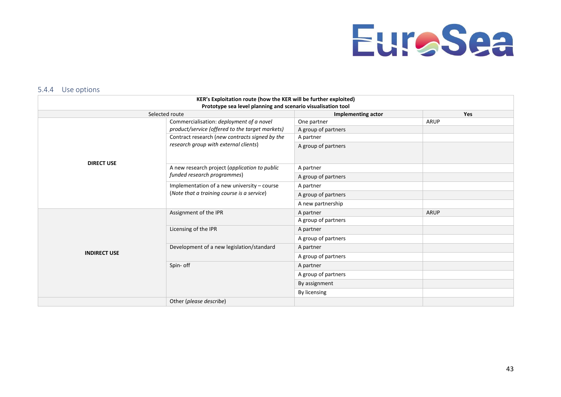

#### 5.4.4 Use options

<span id="page-44-0"></span>

|                                                              | KER's Exploitation route (how the KER will be further exploited) |                           |             |  |  |  |  |  |
|--------------------------------------------------------------|------------------------------------------------------------------|---------------------------|-------------|--|--|--|--|--|
| Prototype sea level planning and scenario visualisation tool |                                                                  |                           |             |  |  |  |  |  |
|                                                              | Selected route                                                   | <b>Implementing actor</b> | <b>Yes</b>  |  |  |  |  |  |
|                                                              | Commercialisation: deployment of a novel                         | One partner               | <b>ARUP</b> |  |  |  |  |  |
|                                                              | product/service (offered to the target markets)                  | A group of partners       |             |  |  |  |  |  |
|                                                              | Contract research (new contracts signed by the                   | A partner                 |             |  |  |  |  |  |
| <b>DIRECT USE</b>                                            | research group with external clients)                            | A group of partners       |             |  |  |  |  |  |
|                                                              | A new research project (application to public                    | A partner                 |             |  |  |  |  |  |
|                                                              | funded research programmes)                                      | A group of partners       |             |  |  |  |  |  |
|                                                              | Implementation of a new university - course                      | A partner                 |             |  |  |  |  |  |
|                                                              | (Note that a training course is a service)                       | A group of partners       |             |  |  |  |  |  |
|                                                              |                                                                  | A new partnership         |             |  |  |  |  |  |
|                                                              | Assignment of the IPR                                            | A partner                 | <b>ARUP</b> |  |  |  |  |  |
|                                                              |                                                                  | A group of partners       |             |  |  |  |  |  |
|                                                              | Licensing of the IPR                                             | A partner                 |             |  |  |  |  |  |
|                                                              |                                                                  | A group of partners       |             |  |  |  |  |  |
| <b>INDIRECT USE</b>                                          | Development of a new legislation/standard                        | A partner                 |             |  |  |  |  |  |
|                                                              |                                                                  | A group of partners       |             |  |  |  |  |  |
|                                                              | Spin- off                                                        | A partner                 |             |  |  |  |  |  |
|                                                              |                                                                  | A group of partners       |             |  |  |  |  |  |
|                                                              |                                                                  | By assignment             |             |  |  |  |  |  |
|                                                              |                                                                  | By licensing              |             |  |  |  |  |  |
|                                                              | Other (please describe)                                          |                           |             |  |  |  |  |  |